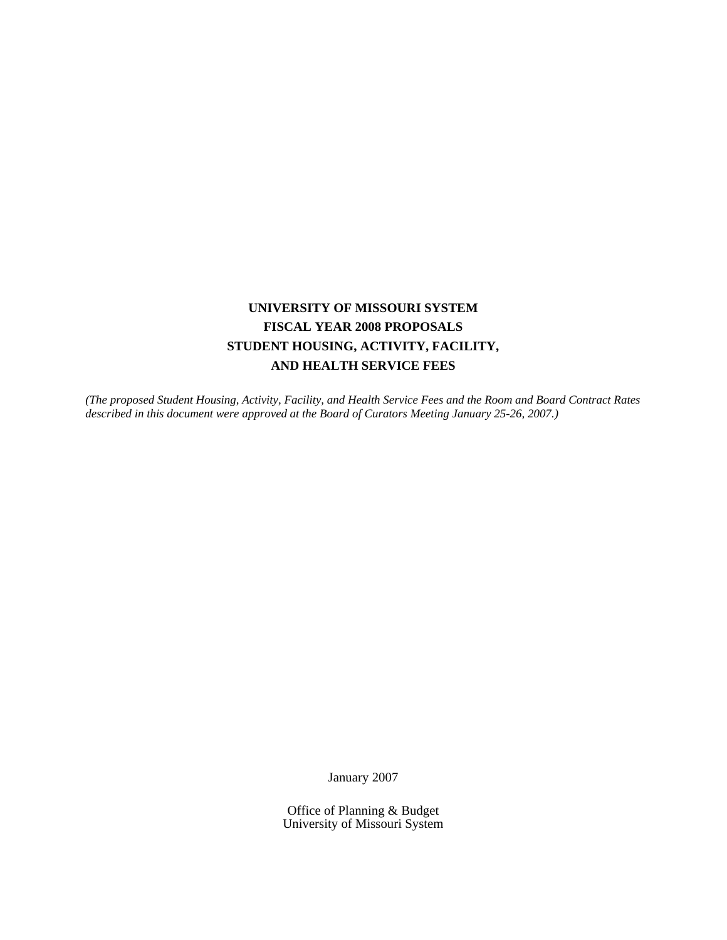# **UNIVERSITY OF MISSOURI SYSTEM FISCAL YEAR 2008 PROPOSALS STUDENT HOUSING, ACTIVITY, FACILITY, AND HEALTH SERVICE FEES**

*(The proposed Student Housing, Activity, Facility, and Health Service Fees and the Room and Board Contract Rates described in this document were approved at the Board of Curators Meeting January 25-26, 2007.)* 

January 2007

Office of Planning & Budget University of Missouri System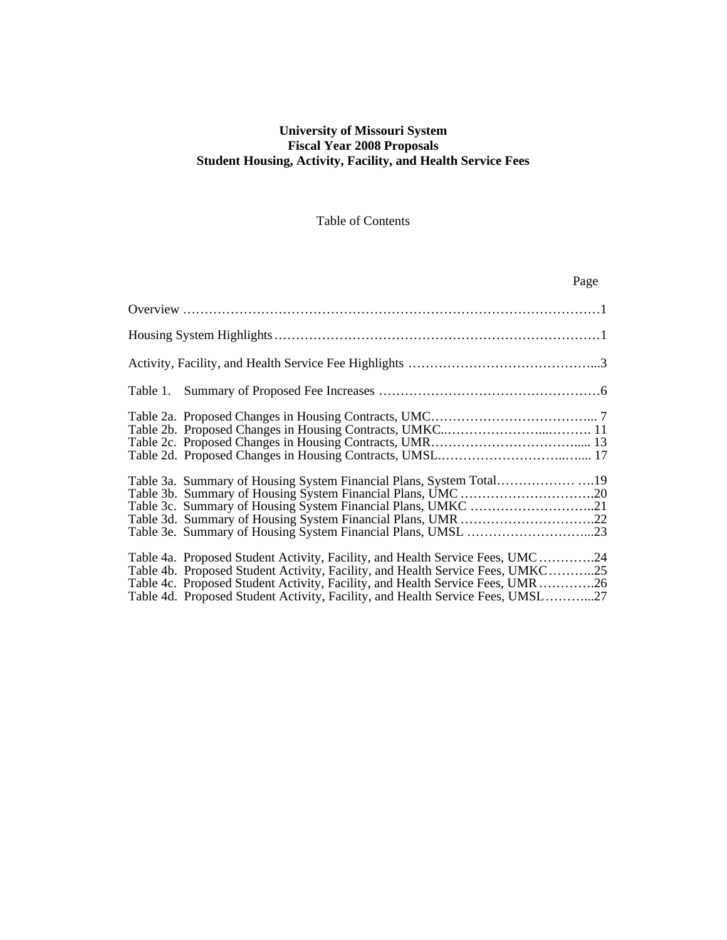### **University of Missouri System Fiscal Year 2008 Proposals Student Housing, Activity, Facility, and Health Service Fees**

### Table of Contents

|                                                                                                                                                                                                                                                                                                                                    | Page |
|------------------------------------------------------------------------------------------------------------------------------------------------------------------------------------------------------------------------------------------------------------------------------------------------------------------------------------|------|
|                                                                                                                                                                                                                                                                                                                                    |      |
|                                                                                                                                                                                                                                                                                                                                    |      |
|                                                                                                                                                                                                                                                                                                                                    |      |
|                                                                                                                                                                                                                                                                                                                                    |      |
|                                                                                                                                                                                                                                                                                                                                    |      |
| Table 3a. Summary of Housing System Financial Plans, System Total                                                                                                                                                                                                                                                                  |      |
| Table 4a. Proposed Student Activity, Facility, and Health Service Fees, UMC24<br>Table 4b. Proposed Student Activity, Facility, and Health Service Fees, UMKC25<br>Table 4c. Proposed Student Activity, Facility, and Health Service Fees, UMR26<br>Table 4d. Proposed Student Activity, Facility, and Health Service Fees, UMSL27 |      |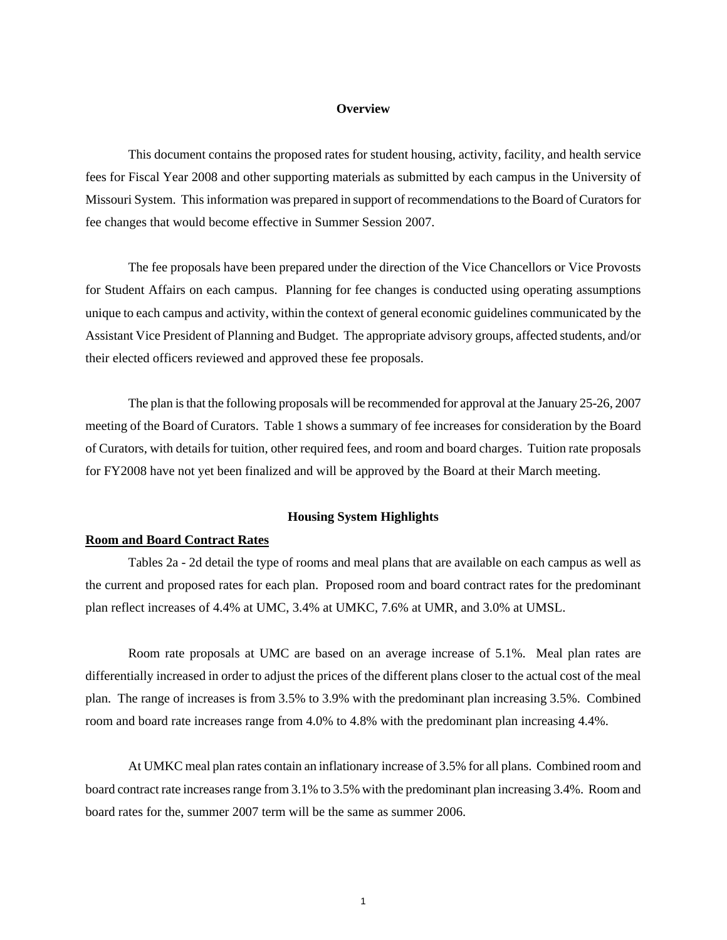#### **Overview**

This document contains the proposed rates for student housing, activity, facility, and health service fees for Fiscal Year 2008 and other supporting materials as submitted by each campus in the University of Missouri System. This information was prepared in support of recommendations to the Board of Curators for fee changes that would become effective in Summer Session 2007.

The fee proposals have been prepared under the direction of the Vice Chancellors or Vice Provosts for Student Affairs on each campus. Planning for fee changes is conducted using operating assumptions unique to each campus and activity, within the context of general economic guidelines communicated by the Assistant Vice President of Planning and Budget. The appropriate advisory groups, affected students, and/or their elected officers reviewed and approved these fee proposals.

The plan is that the following proposals will be recommended for approval at the January 25-26, 2007 meeting of the Board of Curators. Table 1 shows a summary of fee increases for consideration by the Board of Curators, with details for tuition, other required fees, and room and board charges. Tuition rate proposals for FY2008 have not yet been finalized and will be approved by the Board at their March meeting.

### **Housing System Highlights**

#### **Room and Board Contract Rates**

 Tables 2a - 2d detail the type of rooms and meal plans that are available on each campus as well as the current and proposed rates for each plan. Proposed room and board contract rates for the predominant plan reflect increases of 4.4% at UMC, 3.4% at UMKC, 7.6% at UMR, and 3.0% at UMSL.

 Room rate proposals at UMC are based on an average increase of 5.1%. Meal plan rates are differentially increased in order to adjust the prices of the different plans closer to the actual cost of the meal plan. The range of increases is from 3.5% to 3.9% with the predominant plan increasing 3.5%. Combined room and board rate increases range from 4.0% to 4.8% with the predominant plan increasing 4.4%.

 At UMKC meal plan rates contain an inflationary increase of 3.5% for all plans. Combined room and board contract rate increases range from 3.1% to 3.5% with the predominant plan increasing 3.4%. Room and board rates for the, summer 2007 term will be the same as summer 2006.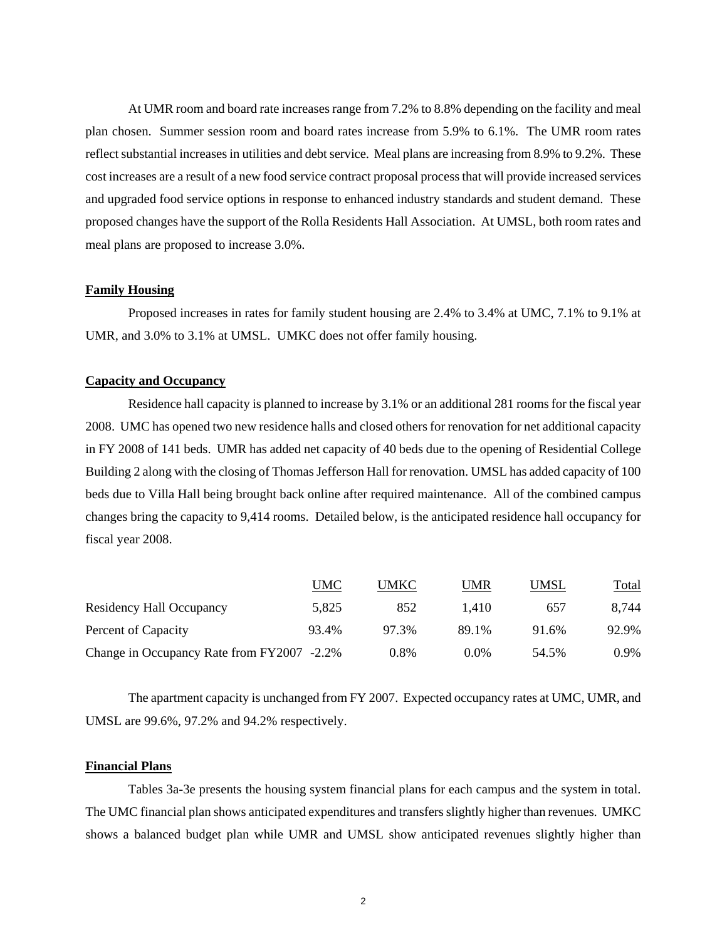At UMR room and board rate increases range from 7.2% to 8.8% depending on the facility and meal plan chosen. Summer session room and board rates increase from 5.9% to 6.1%. The UMR room rates reflect substantial increases in utilities and debt service. Meal plans are increasing from 8.9% to 9.2%. These cost increases are a result of a new food service contract proposal process that will provide increased services and upgraded food service options in response to enhanced industry standards and student demand. These proposed changes have the support of the Rolla Residents Hall Association. At UMSL, both room rates and meal plans are proposed to increase 3.0%.

#### **Family Housing**

Proposed increases in rates for family student housing are 2.4% to 3.4% at UMC, 7.1% to 9.1% at UMR, and 3.0% to 3.1% at UMSL. UMKC does not offer family housing.

### **Capacity and Occupancy**

 Residence hall capacity is planned to increase by 3.1% or an additional 281 rooms for the fiscal year 2008. UMC has opened two new residence halls and closed others for renovation for net additional capacity in FY 2008 of 141 beds. UMR has added net capacity of 40 beds due to the opening of Residential College Building 2 along with the closing of Thomas Jefferson Hall for renovation. UMSL has added capacity of 100 beds due to Villa Hall being brought back online after required maintenance. All of the combined campus changes bring the capacity to 9,414 rooms. Detailed below, is the anticipated residence hall occupancy for fiscal year 2008.

|                                            | UMC   | UMKC  | UMR     | <b>UMSL</b> | <b>Total</b> |
|--------------------------------------------|-------|-------|---------|-------------|--------------|
| Residency Hall Occupancy                   | 5,825 | 852   | 1.410   | 657         | 8.744        |
| Percent of Capacity                        | 93.4% | 97.3% | 89.1%   | 91.6%       | 92.9%        |
| Change in Occupancy Rate from FY2007 -2.2% |       | 0.8%  | $0.0\%$ | 54.5%       | $0.9\%$      |

 The apartment capacity is unchanged from FY 2007. Expected occupancy rates at UMC, UMR, and UMSL are 99.6%, 97.2% and 94.2% respectively.

### **Financial Plans**

 Tables 3a-3e presents the housing system financial plans for each campus and the system in total. The UMC financial plan shows anticipated expenditures and transfers slightly higher than revenues. UMKC shows a balanced budget plan while UMR and UMSL show anticipated revenues slightly higher than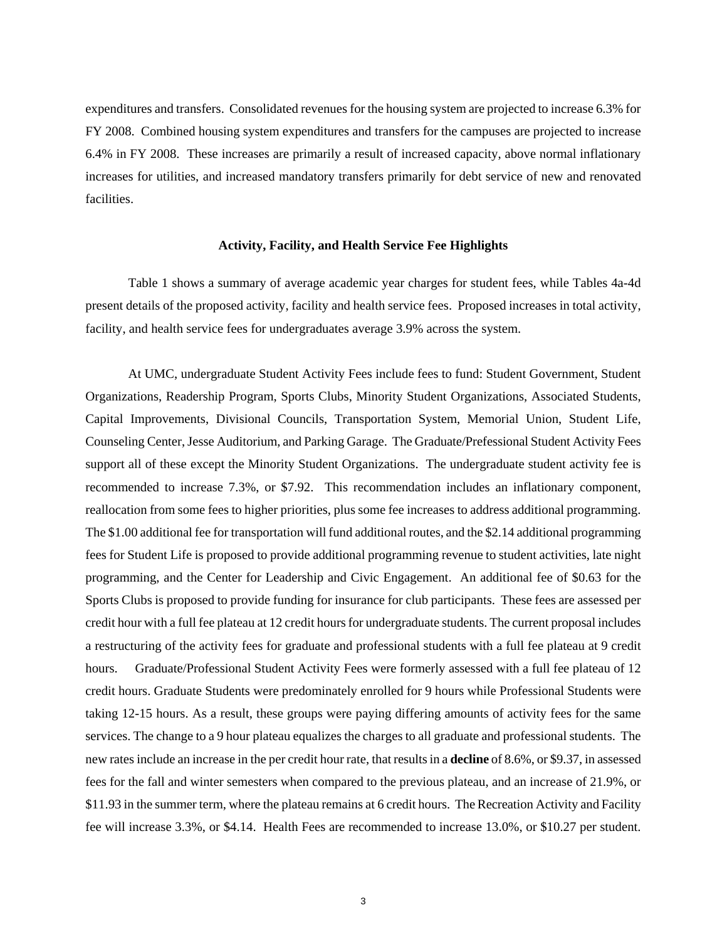expenditures and transfers. Consolidated revenues for the housing system are projected to increase 6.3% for FY 2008. Combined housing system expenditures and transfers for the campuses are projected to increase 6.4% in FY 2008. These increases are primarily a result of increased capacity, above normal inflationary increases for utilities, and increased mandatory transfers primarily for debt service of new and renovated facilities.

#### **Activity, Facility, and Health Service Fee Highlights**

 Table 1 shows a summary of average academic year charges for student fees, while Tables 4a-4d present details of the proposed activity, facility and health service fees. Proposed increases in total activity, facility, and health service fees for undergraduates average 3.9% across the system.

At UMC, undergraduate Student Activity Fees include fees to fund: Student Government, Student Organizations, Readership Program, Sports Clubs, Minority Student Organizations, Associated Students, Capital Improvements, Divisional Councils, Transportation System, Memorial Union, Student Life, Counseling Center, Jesse Auditorium, and Parking Garage. The Graduate/Prefessional Student Activity Fees support all of these except the Minority Student Organizations. The undergraduate student activity fee is recommended to increase 7.3%, or \$7.92. This recommendation includes an inflationary component, reallocation from some fees to higher priorities, plus some fee increases to address additional programming. The \$1.00 additional fee for transportation will fund additional routes, and the \$2.14 additional programming fees for Student Life is proposed to provide additional programming revenue to student activities, late night programming, and the Center for Leadership and Civic Engagement. An additional fee of \$0.63 for the Sports Clubs is proposed to provide funding for insurance for club participants. These fees are assessed per credit hour with a full fee plateau at 12 credit hours for undergraduate students. The current proposal includes a restructuring of the activity fees for graduate and professional students with a full fee plateau at 9 credit hours. Graduate/Professional Student Activity Fees were formerly assessed with a full fee plateau of 12 credit hours. Graduate Students were predominately enrolled for 9 hours while Professional Students were taking 12-15 hours. As a result, these groups were paying differing amounts of activity fees for the same services. The change to a 9 hour plateau equalizes the charges to all graduate and professional students. The new rates include an increase in the per credit hour rate, that results in a **decline** of 8.6%, or \$9.37, in assessed fees for the fall and winter semesters when compared to the previous plateau, and an increase of 21.9%, or \$11.93 in the summer term, where the plateau remains at 6 credit hours. The Recreation Activity and Facility fee will increase 3.3%, or \$4.14. Health Fees are recommended to increase 13.0%, or \$10.27 per student.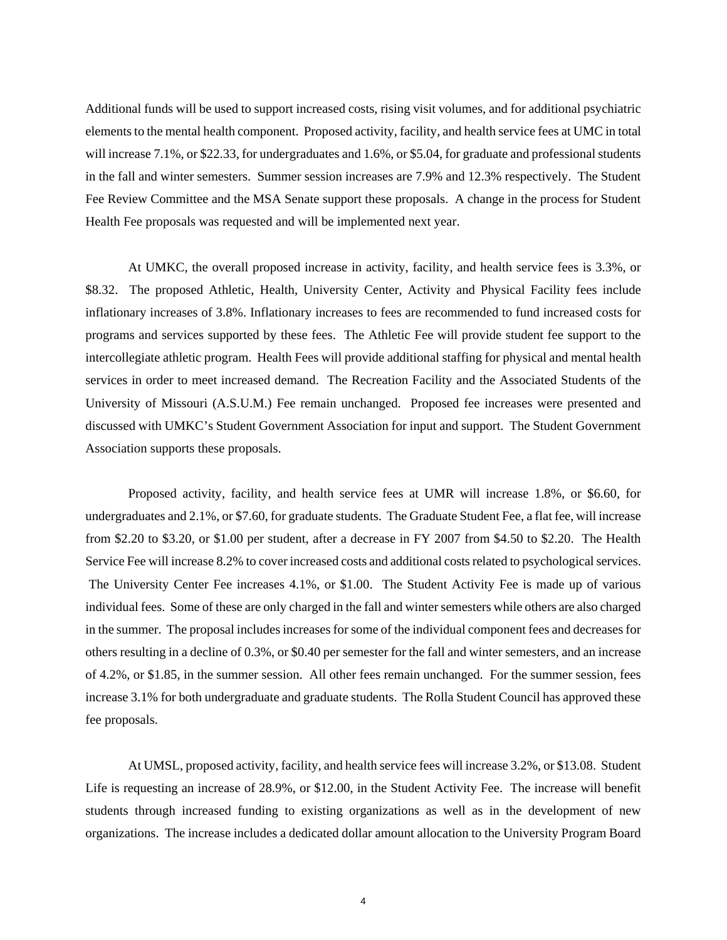Additional funds will be used to support increased costs, rising visit volumes, and for additional psychiatric elements to the mental health component. Proposed activity, facility, and health service fees at UMC in total will increase 7.1%, or \$22.33, for undergraduates and 1.6%, or \$5.04, for graduate and professional students in the fall and winter semesters. Summer session increases are 7.9% and 12.3% respectively. The Student Fee Review Committee and the MSA Senate support these proposals. A change in the process for Student Health Fee proposals was requested and will be implemented next year.

At UMKC, the overall proposed increase in activity, facility, and health service fees is 3.3%, or \$8.32. The proposed Athletic, Health, University Center, Activity and Physical Facility fees include inflationary increases of 3.8%. Inflationary increases to fees are recommended to fund increased costs for programs and services supported by these fees. The Athletic Fee will provide student fee support to the intercollegiate athletic program. Health Fees will provide additional staffing for physical and mental health services in order to meet increased demand. The Recreation Facility and the Associated Students of the University of Missouri (A.S.U.M.) Fee remain unchanged. Proposed fee increases were presented and discussed with UMKC's Student Government Association for input and support. The Student Government Association supports these proposals.

Proposed activity, facility, and health service fees at UMR will increase 1.8%, or \$6.60, for undergraduates and 2.1%, or \$7.60, for graduate students. The Graduate Student Fee, a flat fee, will increase from \$2.20 to \$3.20, or \$1.00 per student, after a decrease in FY 2007 from \$4.50 to \$2.20. The Health Service Fee will increase 8.2% to cover increased costs and additional costs related to psychological services. The University Center Fee increases 4.1%, or \$1.00. The Student Activity Fee is made up of various individual fees. Some of these are only charged in the fall and winter semesters while others are also charged in the summer. The proposal includes increases for some of the individual component fees and decreases for others resulting in a decline of 0.3%, or \$0.40 per semester for the fall and winter semesters, and an increase of 4.2%, or \$1.85, in the summer session. All other fees remain unchanged. For the summer session, fees increase 3.1% for both undergraduate and graduate students. The Rolla Student Council has approved these fee proposals.

 At UMSL, proposed activity, facility, and health service fees will increase 3.2%, or \$13.08. Student Life is requesting an increase of 28.9%, or \$12.00, in the Student Activity Fee. The increase will benefit students through increased funding to existing organizations as well as in the development of new organizations. The increase includes a dedicated dollar amount allocation to the University Program Board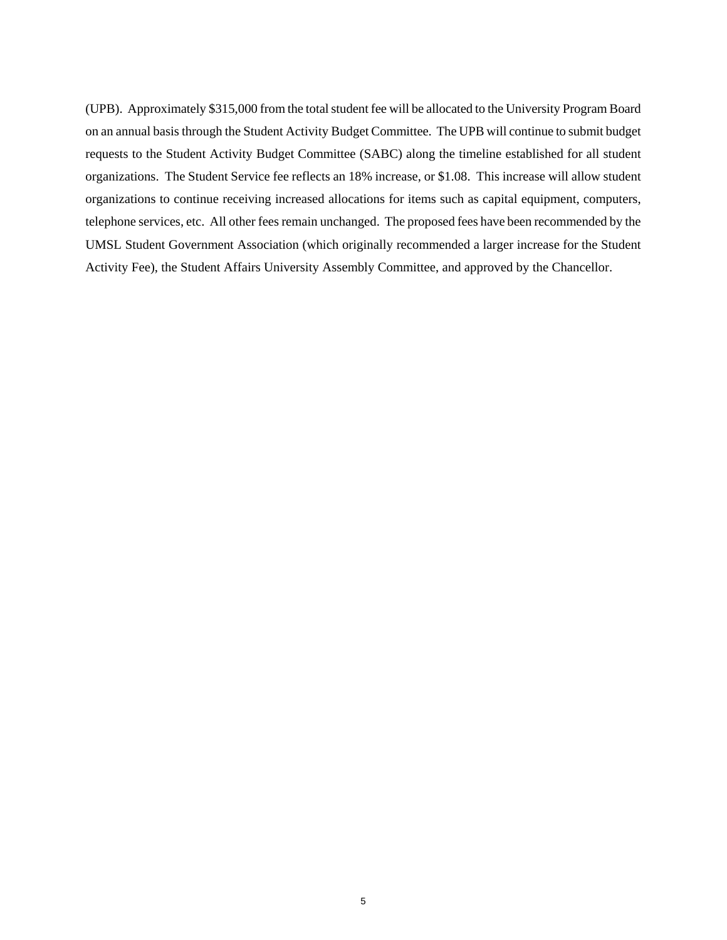(UPB). Approximately \$315,000 from the total student fee will be allocated to the University Program Board on an annual basis through the Student Activity Budget Committee. The UPB will continue to submit budget requests to the Student Activity Budget Committee (SABC) along the timeline established for all student organizations. The Student Service fee reflects an 18% increase, or \$1.08. This increase will allow student organizations to continue receiving increased allocations for items such as capital equipment, computers, telephone services, etc. All other fees remain unchanged. The proposed fees have been recommended by the UMSL Student Government Association (which originally recommended a larger increase for the Student Activity Fee), the Student Affairs University Assembly Committee, and approved by the Chancellor.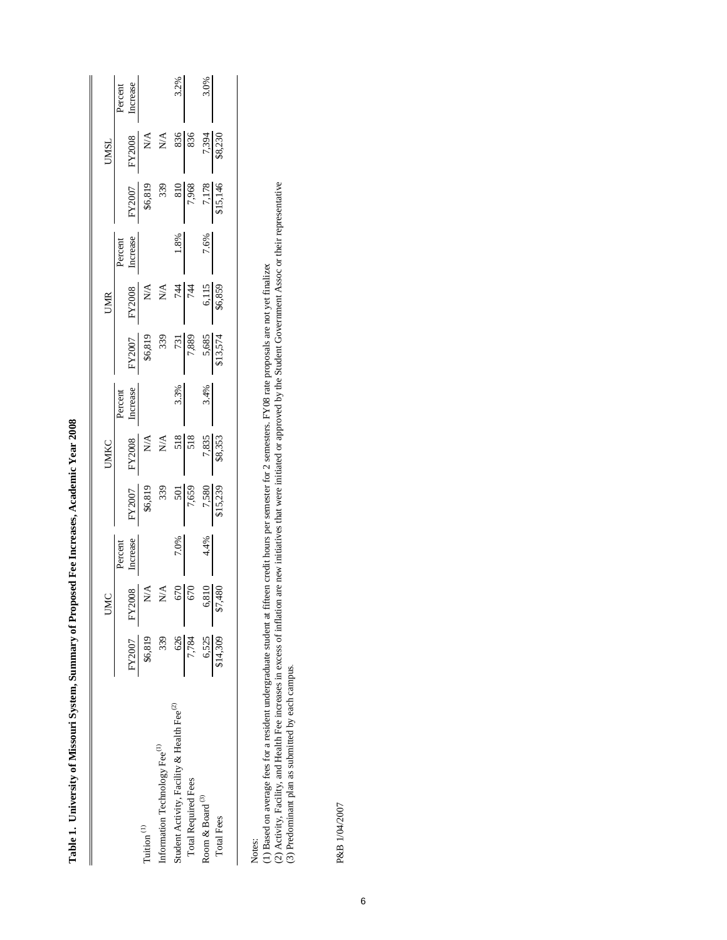Table 1. University of Missouri System, Summary of Proposed Fee Increases, Academic Year 2008 **Table 1. University of Missouri System, Summary of Proposed Fee Increases, Academic Year 2008**

I

|                                                        |                          |                                                                                                                      |                     |                                                                                                                                                   | UMKC                                                                                                                                    |                     |                                                                                                                                               | UMR                                                                                                                                                                                                                                                                                                                                                                                                                                                   |                     |                                                                                                                                                                                           | <b>UMSL</b>                                         |          |
|--------------------------------------------------------|--------------------------|----------------------------------------------------------------------------------------------------------------------|---------------------|---------------------------------------------------------------------------------------------------------------------------------------------------|-----------------------------------------------------------------------------------------------------------------------------------------|---------------------|-----------------------------------------------------------------------------------------------------------------------------------------------|-------------------------------------------------------------------------------------------------------------------------------------------------------------------------------------------------------------------------------------------------------------------------------------------------------------------------------------------------------------------------------------------------------------------------------------------------------|---------------------|-------------------------------------------------------------------------------------------------------------------------------------------------------------------------------------------|-----------------------------------------------------|----------|
|                                                        |                          |                                                                                                                      |                     |                                                                                                                                                   |                                                                                                                                         |                     |                                                                                                                                               |                                                                                                                                                                                                                                                                                                                                                                                                                                                       |                     |                                                                                                                                                                                           |                                                     | Percent  |
|                                                        | FY2007                   |                                                                                                                      | Percent<br>Increase |                                                                                                                                                   |                                                                                                                                         | Percent<br>Increase |                                                                                                                                               |                                                                                                                                                                                                                                                                                                                                                                                                                                                       | Percent<br>Increase |                                                                                                                                                                                           |                                                     | Increase |
| Tuition <sup>(1)</sup>                                 | \$6,819                  | $\begin{array}{r}\n\text{FY2008} \\ \text{N/A} \\ \text{N/A} \\ \text{N/A} \\ \text{670} \\ \text{670}\n\end{array}$ |                     | $\begin{array}{r} \hline \text{50007} \\ \text{36,819} \\ \text{339} \\ \text{501} \\ \text{7,659} \\ \text{7,580} \\ \text{815,239} \end{array}$ | $\begin{array}{r l} \text{FY2008} \\ \text{N/A} \\ \text{N/A} \\ \text{S18} \\ \text{518} \\ \text{7,835} \\ \text{93.353} \end{array}$ |                     | $\begin{array}{r l} \hline \text{KY2007} \\ \text{86,819} \\ \text{39} \\ \text{7,889} \\ \text{5,685} \\ \text{5,685} \\ \hline \end{array}$ | $\begin{array}{r l} \text{FY2008} \\ \text{N/A} \\ \text{N/A} \\ \text{N/A} \\ \text{N/A} \\ \text{N/A} \\ \text{N/A} \\ \text{N/A} \\ \text{N/A} \\ \text{N/A} \\ \text{N/A} \\ \text{N/A} \\ \text{N-A} \\ \text{N-A} \\ \text{N-A} \\ \text{N-A} \\ \text{N-A} \\ \text{N-A} \\ \text{N-A} \\ \text{N-A} \\ \text{N-A} \\ \text{N-A} \\ \text{N-A} \\ \text{N-A} \\ \text{N-A} \\ \text{N-A} \\ \text{N-A} \\ \text{N-A} \\ \text{N-A} \\ \text{N$ |                     | $\begin{array}{r l} \hline \text{56,} \\ \text{56,} \\ \text{57,} \\ \text{68} \\ \text{7,} \\ \text{968} \\ \text{7,} \\ \text{17,} \\ \text{18} \\ \text{15,} \\ \text{16} \end{array}$ | FY2008<br>N/A<br>N/A<br>N/A<br>S36<br>S36<br>38,230 |          |
| Information Technology Fee <sup>(1)</sup>              | 339                      |                                                                                                                      |                     |                                                                                                                                                   |                                                                                                                                         |                     |                                                                                                                                               |                                                                                                                                                                                                                                                                                                                                                                                                                                                       |                     |                                                                                                                                                                                           |                                                     |          |
| Student Activity, Facility & Health Fee <sup>(2)</sup> | 626                      |                                                                                                                      | 7.0%                |                                                                                                                                                   |                                                                                                                                         | 3.3%                |                                                                                                                                               |                                                                                                                                                                                                                                                                                                                                                                                                                                                       | 1.8%                |                                                                                                                                                                                           |                                                     | 3.2%     |
| <b>Total Required Fees</b>                             | 7,784                    |                                                                                                                      |                     |                                                                                                                                                   |                                                                                                                                         |                     |                                                                                                                                               |                                                                                                                                                                                                                                                                                                                                                                                                                                                       |                     |                                                                                                                                                                                           |                                                     |          |
| Room & Board $^{\scriptsize{(3)}}$                     |                          | 6,810<br>\$7,480                                                                                                     | 4.4%                |                                                                                                                                                   |                                                                                                                                         | 3.4%                |                                                                                                                                               |                                                                                                                                                                                                                                                                                                                                                                                                                                                       | 7.6%                |                                                                                                                                                                                           |                                                     | 3.0%     |
| <b>Total Fees</b>                                      | $\frac{6,525}{\$14,309}$ |                                                                                                                      |                     |                                                                                                                                                   |                                                                                                                                         |                     |                                                                                                                                               |                                                                                                                                                                                                                                                                                                                                                                                                                                                       |                     |                                                                                                                                                                                           |                                                     |          |
|                                                        |                          |                                                                                                                      |                     |                                                                                                                                                   |                                                                                                                                         |                     |                                                                                                                                               |                                                                                                                                                                                                                                                                                                                                                                                                                                                       |                     |                                                                                                                                                                                           |                                                     |          |

Notes:

(1) Based on average fees for a resident undergraduate student at fifteen credit hours per semester for 2 semesters. FY08 rate proposals are not yet finalized

(1) Based on average fees for a resident undergraduate student at fifteen credit hours per semester for 2 semesters. FY08 rate proposals are not yet finalizee<br>(2) Activity, Facility, and Health Fee increases in excess of i (2) Activity, Facility, and Health Fee increases in excess of inflation are new initiatives that were initiated or approved by the Student Government Assoc or their representative

(3) Predominant plan as submitted by each campus.

P&B 1/04/2007 P&B 1/04/2007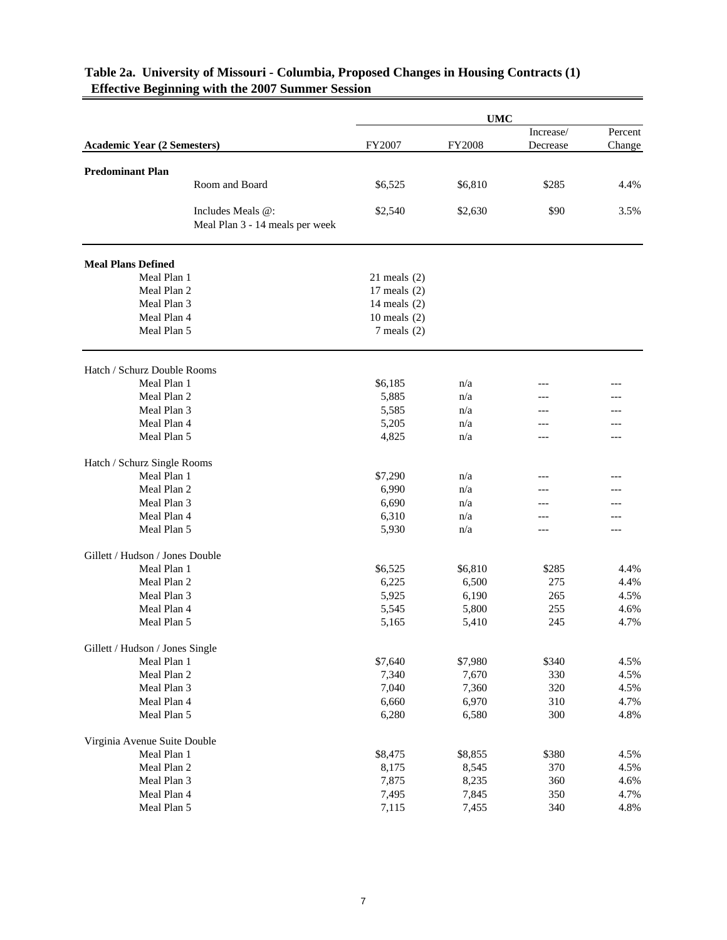|                                    |                                                      |                  | <b>UMC</b> |           |         |
|------------------------------------|------------------------------------------------------|------------------|------------|-----------|---------|
|                                    |                                                      |                  |            | Increase/ | Percent |
| <b>Academic Year (2 Semesters)</b> |                                                      | FY2007           | FY2008     | Decrease  | Change  |
| <b>Predominant Plan</b>            |                                                      |                  |            |           |         |
|                                    | Room and Board                                       | \$6,525          | \$6,810    | \$285     | 4.4%    |
|                                    | Includes Meals @:<br>Meal Plan 3 - 14 meals per week | \$2,540          | \$2,630    | \$90      | 3.5%    |
| <b>Meal Plans Defined</b>          |                                                      |                  |            |           |         |
| Meal Plan 1                        |                                                      | $21$ meals $(2)$ |            |           |         |
| Meal Plan 2                        |                                                      | 17 meals $(2)$   |            |           |         |
| Meal Plan 3                        |                                                      | 14 meals $(2)$   |            |           |         |
| Meal Plan 4                        |                                                      | 10 meals $(2)$   |            |           |         |
| Meal Plan 5                        |                                                      | $7$ meals $(2)$  |            |           |         |
| Hatch / Schurz Double Rooms        |                                                      |                  |            |           |         |
| Meal Plan 1                        |                                                      | \$6,185          | n/a        |           |         |
| Meal Plan 2                        |                                                      | 5,885            | n/a        |           |         |
| Meal Plan 3                        |                                                      | 5,585            | n/a        |           |         |
| Meal Plan 4                        |                                                      | 5,205            | n/a        |           |         |
| Meal Plan 5                        |                                                      | 4,825            | n/a        |           |         |
| Hatch / Schurz Single Rooms        |                                                      |                  |            |           |         |
| Meal Plan 1                        |                                                      | \$7,290          | n/a        |           |         |
| Meal Plan 2                        |                                                      | 6,990            | n/a        |           |         |
| Meal Plan 3                        |                                                      | 6,690            | n/a        |           |         |
| Meal Plan 4                        |                                                      | 6,310            | n/a        |           |         |
| Meal Plan 5                        |                                                      | 5,930            | n/a        | ---       | ---     |
| Gillett / Hudson / Jones Double    |                                                      |                  |            |           |         |
| Meal Plan 1                        |                                                      | \$6,525          | \$6,810    | \$285     | 4.4%    |
| Meal Plan 2                        |                                                      | 6,225            | 6,500      | 275       | 4.4%    |
| Meal Plan 3                        |                                                      | 5,925            | 6,190      | 265       | 4.5%    |
| Meal Plan 4                        |                                                      | 5,545            | 5,800      | 255       | 4.6%    |
| Meal Plan 5                        |                                                      | 5,165            | 5,410      | 245       | 4.7%    |
| Gillett / Hudson / Jones Single    |                                                      |                  |            |           |         |
| Meal Plan 1                        |                                                      | \$7,640          | \$7,980    | \$340     | 4.5%    |
| Meal Plan 2                        |                                                      | 7,340            | 7,670      | 330       | 4.5%    |
| Meal Plan 3                        |                                                      | 7,040            | 7,360      | 320       | 4.5%    |
| Meal Plan 4                        |                                                      | 6,660            | 6,970      | 310       | 4.7%    |
| Meal Plan 5                        |                                                      | 6,280            | 6,580      | 300       | 4.8%    |
| Virginia Avenue Suite Double       |                                                      |                  |            |           |         |
| Meal Plan 1                        |                                                      | \$8,475          | \$8,855    | \$380     | 4.5%    |
| Meal Plan 2                        |                                                      | 8,175            | 8,545      | 370       | 4.5%    |
| Meal Plan 3                        |                                                      | 7,875            | 8,235      | 360       | 4.6%    |
| Meal Plan 4                        |                                                      | 7,495            | 7,845      | 350       | 4.7%    |
| Meal Plan 5                        |                                                      | 7,115            | 7,455      | 340       | 4.8%    |

## **Table 2a. University of Missouri - Columbia, Proposed Changes in Housing Contracts (1) Effective Beginning with the 2007 Summer Session**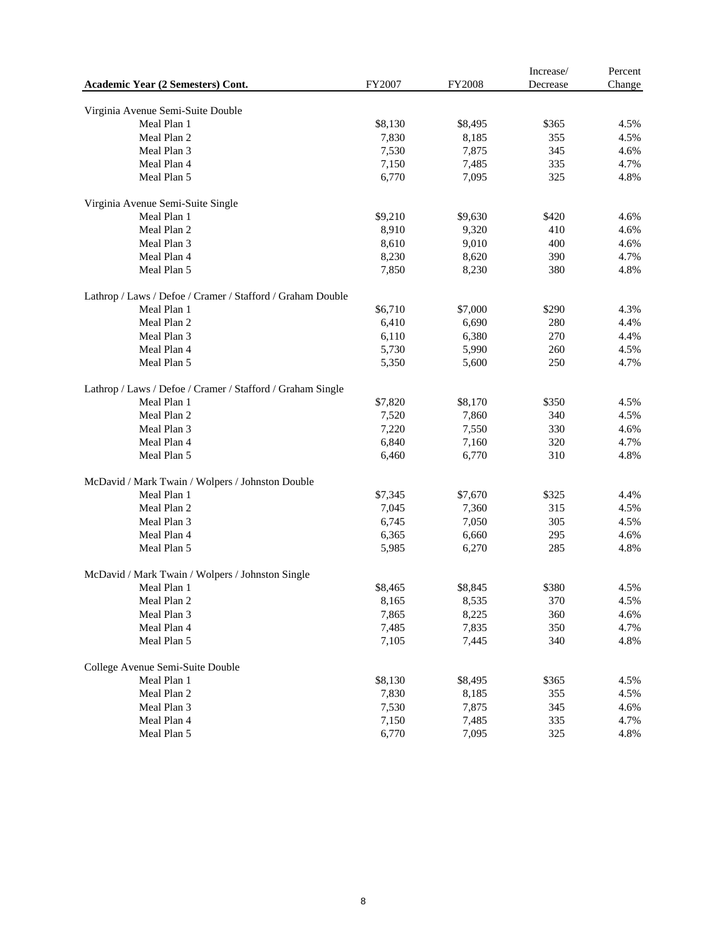|                                                            |         |               | Increase/ | Percent |
|------------------------------------------------------------|---------|---------------|-----------|---------|
| Academic Year (2 Semesters) Cont.                          | FY2007  | <b>FY2008</b> | Decrease  | Change  |
|                                                            |         |               |           |         |
| Virginia Avenue Semi-Suite Double                          |         |               |           |         |
| Meal Plan 1                                                | \$8,130 | \$8,495       | \$365     | 4.5%    |
| Meal Plan 2                                                | 7,830   | 8,185         | 355       | 4.5%    |
| Meal Plan 3                                                | 7,530   | 7,875         | 345       | 4.6%    |
| Meal Plan 4                                                | 7,150   | 7,485         | 335       | 4.7%    |
| Meal Plan 5                                                | 6,770   | 7,095         | 325       | 4.8%    |
| Virginia Avenue Semi-Suite Single                          |         |               |           |         |
| Meal Plan 1                                                | \$9,210 | \$9,630       | \$420     | 4.6%    |
| Meal Plan 2                                                | 8,910   | 9,320         | 410       | 4.6%    |
| Meal Plan 3                                                | 8,610   | 9,010         | 400       | 4.6%    |
| Meal Plan 4                                                | 8,230   | 8,620         | 390       | 4.7%    |
| Meal Plan 5                                                | 7,850   | 8,230         | 380       | 4.8%    |
| Lathrop / Laws / Defoe / Cramer / Stafford / Graham Double |         |               |           |         |
| Meal Plan 1                                                | \$6,710 | \$7,000       | \$290     | 4.3%    |
| Meal Plan 2                                                | 6,410   | 6,690         | 280       | 4.4%    |
| Meal Plan 3                                                | 6,110   | 6,380         | 270       | 4.4%    |
| Meal Plan 4                                                | 5,730   | 5,990         | 260       | 4.5%    |
| Meal Plan 5                                                | 5,350   | 5,600         | 250       | 4.7%    |
|                                                            |         |               |           |         |
| Lathrop / Laws / Defoe / Cramer / Stafford / Graham Single |         |               |           |         |
| Meal Plan 1                                                | \$7,820 | \$8,170       | \$350     | 4.5%    |
| Meal Plan 2                                                | 7,520   | 7,860         | 340       | 4.5%    |
| Meal Plan 3                                                | 7,220   | 7,550         | 330       | 4.6%    |
| Meal Plan 4                                                | 6,840   | 7,160         | 320       | 4.7%    |
| Meal Plan 5                                                | 6,460   | 6,770         | 310       | 4.8%    |
| McDavid / Mark Twain / Wolpers / Johnston Double           |         |               |           |         |
| Meal Plan 1                                                | \$7,345 | \$7,670       | \$325     | 4.4%    |
| Meal Plan 2                                                | 7,045   | 7,360         | 315       | 4.5%    |
| Meal Plan 3                                                | 6,745   | 7,050         | 305       | 4.5%    |
| Meal Plan 4                                                | 6,365   | 6,660         | 295       | 4.6%    |
| Meal Plan 5                                                | 5,985   | 6,270         | 285       | 4.8%    |
| McDavid / Mark Twain / Wolpers / Johnston Single           |         |               |           |         |
| Meal Plan 1                                                | \$8,465 | \$8,845       | \$380     | 4.5%    |
| Meal Plan 2                                                | 8,165   | 8,535         | 370       | 4.5%    |
| Meal Plan 3                                                | 7,865   | 8,225         | 360       | 4.6%    |
| Meal Plan 4                                                | 7,485   | 7,835         | 350       | 4.7%    |
| Meal Plan 5                                                | 7,105   | 7,445         | 340       | 4.8%    |
| College Avenue Semi-Suite Double                           |         |               |           |         |
| Meal Plan 1                                                | \$8,130 | \$8,495       | \$365     | 4.5%    |
|                                                            |         |               |           |         |
| Meal Plan 2                                                | 7,830   | 8,185         | 355       | 4.5%    |
| Meal Plan 3                                                | 7,530   | 7,875         | 345       | 4.6%    |
| Meal Plan 4                                                | 7,150   | 7,485         | 335       | 4.7%    |
| Meal Plan 5                                                | 6,770   | 7,095         | 325       | 4.8%    |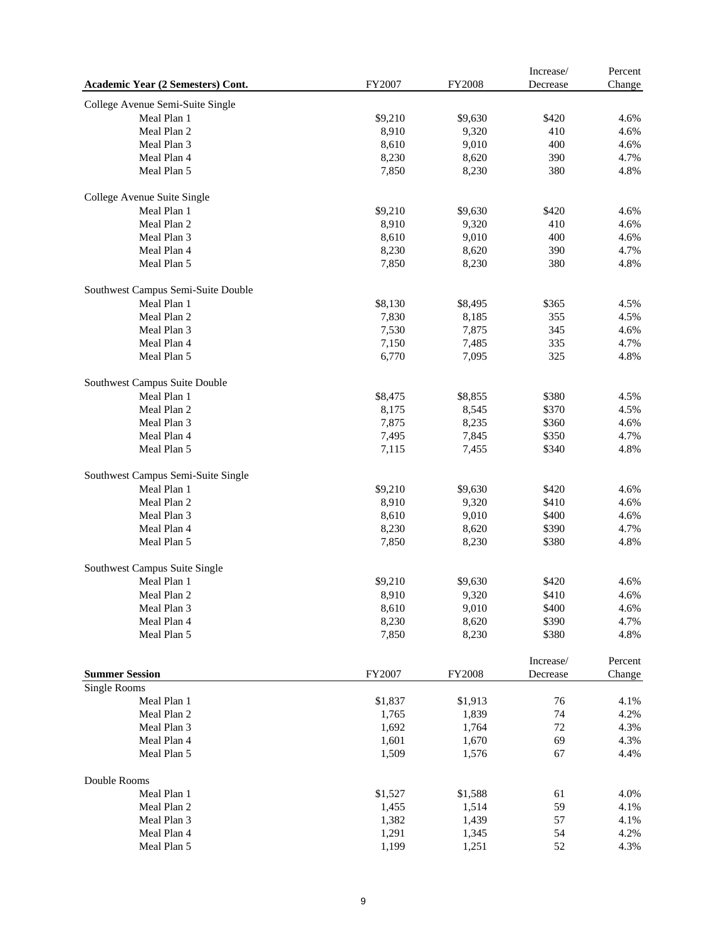| Academic Year (2 Semesters) Cont.  | FY2007  | <b>FY2008</b> | Increase/<br>Decrease | Percent<br>Change |
|------------------------------------|---------|---------------|-----------------------|-------------------|
| College Avenue Semi-Suite Single   |         |               |                       |                   |
| Meal Plan 1                        | \$9,210 | \$9,630       | \$420                 | 4.6%              |
| Meal Plan 2                        | 8,910   | 9,320         | 410                   | 4.6%              |
| Meal Plan 3                        | 8,610   | 9,010         | 400                   | 4.6%              |
| Meal Plan 4                        | 8,230   | 8,620         | 390                   | 4.7%              |
| Meal Plan 5                        | 7,850   | 8,230         | 380                   | 4.8%              |
| College Avenue Suite Single        |         |               |                       |                   |
| Meal Plan 1                        | \$9,210 | \$9,630       | \$420                 | 4.6%              |
| Meal Plan 2                        | 8,910   | 9,320         | 410                   | 4.6%              |
| Meal Plan 3                        | 8,610   | 9,010         | 400                   | 4.6%              |
| Meal Plan 4                        | 8,230   | 8,620         | 390                   | 4.7%              |
| Meal Plan 5                        | 7,850   | 8,230         | 380                   | 4.8%              |
| Southwest Campus Semi-Suite Double |         |               |                       |                   |
| Meal Plan 1                        | \$8,130 | \$8,495       | \$365                 | 4.5%              |
| Meal Plan 2                        | 7,830   | 8,185         | 355                   | 4.5%              |
| Meal Plan 3                        | 7,530   | 7,875         | 345                   | 4.6%              |
| Meal Plan 4                        | 7,150   | 7,485         | 335                   | 4.7%              |
| Meal Plan 5                        | 6,770   | 7,095         | 325                   | 4.8%              |
| Southwest Campus Suite Double      |         |               |                       |                   |
| Meal Plan 1                        | \$8,475 | \$8,855       | \$380                 | 4.5%              |
| Meal Plan 2                        | 8,175   | 8,545         | \$370                 | 4.5%              |
| Meal Plan 3                        | 7,875   | 8,235         | \$360                 | 4.6%              |
| Meal Plan 4                        | 7,495   | 7,845         | \$350                 | 4.7%              |
| Meal Plan 5                        | 7,115   | 7,455         | \$340                 | 4.8%              |
| Southwest Campus Semi-Suite Single |         |               |                       |                   |
| Meal Plan 1                        | \$9,210 | \$9,630       | \$420                 | 4.6%              |
| Meal Plan 2                        | 8,910   | 9,320         | \$410                 | 4.6%              |
| Meal Plan 3                        | 8,610   | 9,010         | \$400                 | 4.6%              |
| Meal Plan 4                        | 8,230   | 8,620         | \$390                 | 4.7%              |
| Meal Plan 5                        | 7,850   | 8,230         | \$380                 | 4.8%              |
| Southwest Campus Suite Single      |         |               |                       |                   |
| Meal Plan 1                        | \$9,210 | \$9,630       | \$420                 | 4.6%              |
| Meal Plan 2                        | 8,910   | 9,320         | \$410                 | 4.6%              |
| Meal Plan 3                        | 8,610   | 9,010         | \$400                 | 4.6%              |
| Meal Plan 4                        | 8,230   | 8,620         | \$390                 | 4.7%              |
| Meal Plan 5                        | 7,850   | 8,230         | \$380                 | 4.8%              |
|                                    |         |               | Increase/             | Percent           |
| <b>Summer Session</b>              | FY2007  | FY2008        | Decrease              | Change            |
| Single Rooms                       |         |               |                       |                   |
| Meal Plan 1                        | \$1,837 | \$1,913       | 76                    | 4.1%              |
| Meal Plan 2                        | 1,765   | 1,839         | 74                    | 4.2%              |
| Meal Plan 3                        | 1,692   | 1,764         | 72                    | 4.3%              |
| Meal Plan 4                        | 1,601   | 1,670         | 69                    | 4.3%              |
| Meal Plan 5                        | 1,509   | 1,576         | 67                    | 4.4%              |
| Double Rooms                       |         |               |                       |                   |
| Meal Plan 1                        | \$1,527 | \$1,588       | 61                    | 4.0%              |
| Meal Plan 2                        | 1,455   | 1,514         | 59                    | 4.1%              |
| Meal Plan 3                        | 1,382   | 1,439         | 57                    | 4.1%              |
| Meal Plan 4                        | 1,291   | 1,345         | 54                    | 4.2%              |
| Meal Plan 5                        | 1,199   | 1,251         | 52                    | 4.3%              |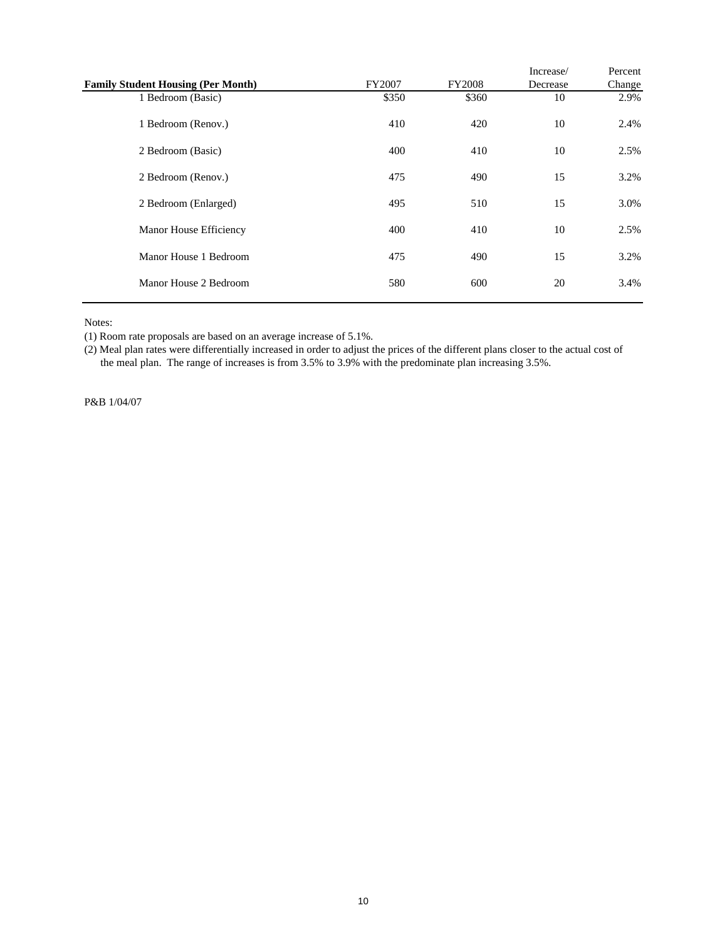|                                           |        |               | Increase/ | Percent |
|-------------------------------------------|--------|---------------|-----------|---------|
| <b>Family Student Housing (Per Month)</b> | FY2007 | <b>FY2008</b> | Decrease  | Change  |
| 1 Bedroom (Basic)                         | \$350  | \$360         | 10        | 2.9%    |
| 1 Bedroom (Renov.)                        | 410    | 420           | 10        | 2.4%    |
| 2 Bedroom (Basic)                         | 400    | 410           | 10        | 2.5%    |
| 2 Bedroom (Renov.)                        | 475    | 490           | 15        | 3.2%    |
| 2 Bedroom (Enlarged)                      | 495    | 510           | 15        | 3.0%    |
| Manor House Efficiency                    | 400    | 410           | 10        | 2.5%    |
| Manor House 1 Bedroom                     | 475    | 490           | 15        | 3.2%    |
| Manor House 2 Bedroom                     | 580    | 600           | 20        | 3.4%    |

Notes:

(1) Room rate proposals are based on an average increase of 5.1%.

(2) Meal plan rates were differentially increased in order to adjust the prices of the different plans closer to the actual cost of the meal plan. The range of increases is from 3.5% to 3.9% with the predominate plan increasing 3.5%.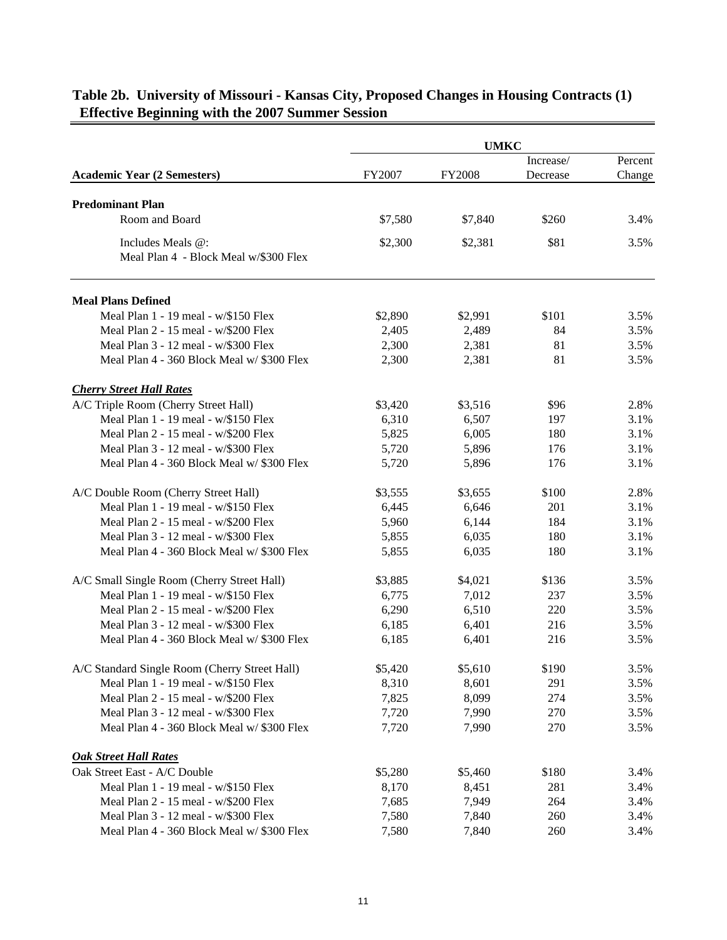|                                                            |               | <b>UMKC</b>   |           |         |
|------------------------------------------------------------|---------------|---------------|-----------|---------|
|                                                            |               |               | Increase/ | Percent |
| <b>Academic Year (2 Semesters)</b>                         | <b>FY2007</b> | <b>FY2008</b> | Decrease  | Change  |
| <b>Predominant Plan</b>                                    |               |               |           |         |
| Room and Board                                             | \$7,580       | \$7,840       | \$260     | 3.4%    |
|                                                            |               |               |           |         |
| Includes Meals @:<br>Meal Plan 4 - Block Meal w/\$300 Flex | \$2,300       | \$2,381       | \$81      | 3.5%    |
|                                                            |               |               |           |         |
| <b>Meal Plans Defined</b>                                  |               |               |           |         |
| Meal Plan 1 - 19 meal - w/\$150 Flex                       | \$2,890       | \$2,991       | \$101     | 3.5%    |
| Meal Plan 2 - 15 meal - w/\$200 Flex                       | 2,405         | 2,489         | 84        | 3.5%    |
| Meal Plan 3 - 12 meal - w/\$300 Flex                       | 2,300         | 2,381         | 81        | 3.5%    |
| Meal Plan 4 - 360 Block Meal w/ \$300 Flex                 | 2,300         | 2,381         | 81        | 3.5%    |
| <b>Cherry Street Hall Rates</b>                            |               |               |           |         |
| A/C Triple Room (Cherry Street Hall)                       | \$3,420       | \$3,516       | \$96      | 2.8%    |
| Meal Plan 1 - 19 meal - w/\$150 Flex                       | 6,310         | 6,507         | 197       | 3.1%    |
| Meal Plan 2 - 15 meal - w/\$200 Flex                       | 5,825         | 6,005         | 180       | 3.1%    |
| Meal Plan 3 - 12 meal - w/\$300 Flex                       | 5,720         | 5,896         | 176       | 3.1%    |
| Meal Plan 4 - 360 Block Meal w/ \$300 Flex                 | 5,720         | 5,896         | 176       | 3.1%    |
| A/C Double Room (Cherry Street Hall)                       | \$3,555       | \$3,655       | \$100     | 2.8%    |
| Meal Plan 1 - 19 meal - w/\$150 Flex                       | 6,445         | 6,646         | 201       | 3.1%    |
| Meal Plan 2 - 15 meal - w/\$200 Flex                       | 5,960         | 6,144         | 184       | 3.1%    |
| Meal Plan 3 - 12 meal - w/\$300 Flex                       | 5,855         | 6,035         | 180       | 3.1%    |
| Meal Plan 4 - 360 Block Meal w/ \$300 Flex                 | 5,855         | 6,035         | 180       | 3.1%    |
| A/C Small Single Room (Cherry Street Hall)                 | \$3,885       | \$4,021       | \$136     | 3.5%    |
| Meal Plan 1 - 19 meal - w/\$150 Flex                       | 6,775         | 7,012         | 237       | 3.5%    |
| Meal Plan 2 - 15 meal - w/\$200 Flex                       | 6,290         | 6,510         | 220       | 3.5%    |
| Meal Plan 3 - 12 meal - w/\$300 Flex                       | 6,185         | 6,401         | 216       | 3.5%    |
| Meal Plan 4 - 360 Block Meal w/ \$300 Flex                 | 6,185         | 6,401         | 216       | 3.5%    |
| A/C Standard Single Room (Cherry Street Hall)              | \$5,420       | \$5,610       | \$190     | 3.5%    |
| Meal Plan 1 - 19 meal - w/\$150 Flex                       | 8,310         | 8,601         | 291       | 3.5%    |
| Meal Plan 2 - 15 meal - w/\$200 Flex                       | 7,825         | 8,099         | 274       | 3.5%    |
| Meal Plan 3 - 12 meal - w/\$300 Flex                       | 7,720         | 7,990         | 270       | 3.5%    |
| Meal Plan 4 - 360 Block Meal w/ \$300 Flex                 | 7,720         | 7,990         | 270       | 3.5%    |
|                                                            |               |               |           |         |
| <b>Oak Street Hall Rates</b>                               |               |               |           |         |
| Oak Street East - A/C Double                               | \$5,280       | \$5,460       | \$180     | 3.4%    |
| Meal Plan 1 - 19 meal - w/\$150 Flex                       | 8,170         | 8,451         | 281       | 3.4%    |
| Meal Plan 2 - 15 meal - w/\$200 Flex                       | 7,685         | 7,949         | 264       | 3.4%    |
| Meal Plan 3 - 12 meal - w/\$300 Flex                       | 7,580         | 7,840         | 260       | 3.4%    |
| Meal Plan 4 - 360 Block Meal w/ \$300 Flex                 | 7,580         | 7,840         | 260       | 3.4%    |

## **Table 2b. University of Missouri - Kansas City, Proposed Changes in Housing Contracts (1) Effective Beginning with the 2007 Summer Session**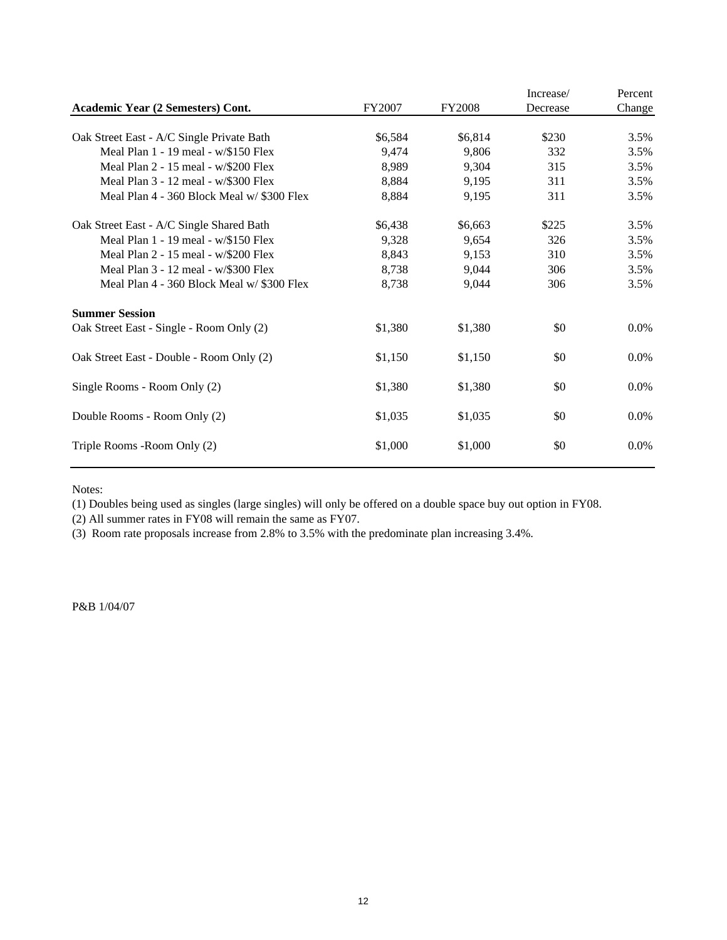|                                            |         |               | Increase/ | Percent |
|--------------------------------------------|---------|---------------|-----------|---------|
| Academic Year (2 Semesters) Cont.          | FY2007  | <b>FY2008</b> | Decrease  | Change  |
| Oak Street East - A/C Single Private Bath  | \$6,584 | \$6,814       | \$230     | 3.5%    |
| Meal Plan $1 - 19$ meal - $w$ /\$150 Flex  | 9,474   | 9,806         | 332       | 3.5%    |
| Meal Plan 2 - 15 meal - w/\$200 Flex       | 8,989   | 9,304         | 315       | 3.5%    |
| Meal Plan 3 - 12 meal - w/\$300 Flex       | 8,884   | 9,195         | 311       | 3.5%    |
| Meal Plan 4 - 360 Block Meal w/ \$300 Flex | 8,884   | 9,195         | 311       | 3.5%    |
| Oak Street East - A/C Single Shared Bath   | \$6,438 | \$6,663       | \$225     | 3.5%    |
| Meal Plan $1 - 19$ meal - $w$ /\$150 Flex  | 9,328   | 9,654         | 326       | 3.5%    |
| Meal Plan 2 - 15 meal - w/\$200 Flex       | 8,843   | 9,153         | 310       | 3.5%    |
| Meal Plan 3 - 12 meal - w/\$300 Flex       | 8,738   | 9,044         | 306       | 3.5%    |
| Meal Plan 4 - 360 Block Meal w/ \$300 Flex | 8,738   | 9,044         | 306       | 3.5%    |
| <b>Summer Session</b>                      |         |               |           |         |
| Oak Street East - Single - Room Only (2)   | \$1,380 | \$1,380       | \$0       | $0.0\%$ |
| Oak Street East - Double - Room Only (2)   | \$1,150 | \$1,150       | \$0       | $0.0\%$ |
| Single Rooms - Room Only (2)               | \$1,380 | \$1,380       | \$0       | $0.0\%$ |
| Double Rooms - Room Only (2)               | \$1,035 | \$1,035       | \$0       | $0.0\%$ |
| Triple Rooms - Room Only (2)               | \$1,000 | \$1,000       | \$0       | $0.0\%$ |

Notes:

(1) Doubles being used as singles (large singles) will only be offered on a double space buy out option in FY08.

(2) All summer rates in FY08 will remain the same as FY07.

(3) Room rate proposals increase from 2.8% to 3.5% with the predominate plan increasing 3.4%.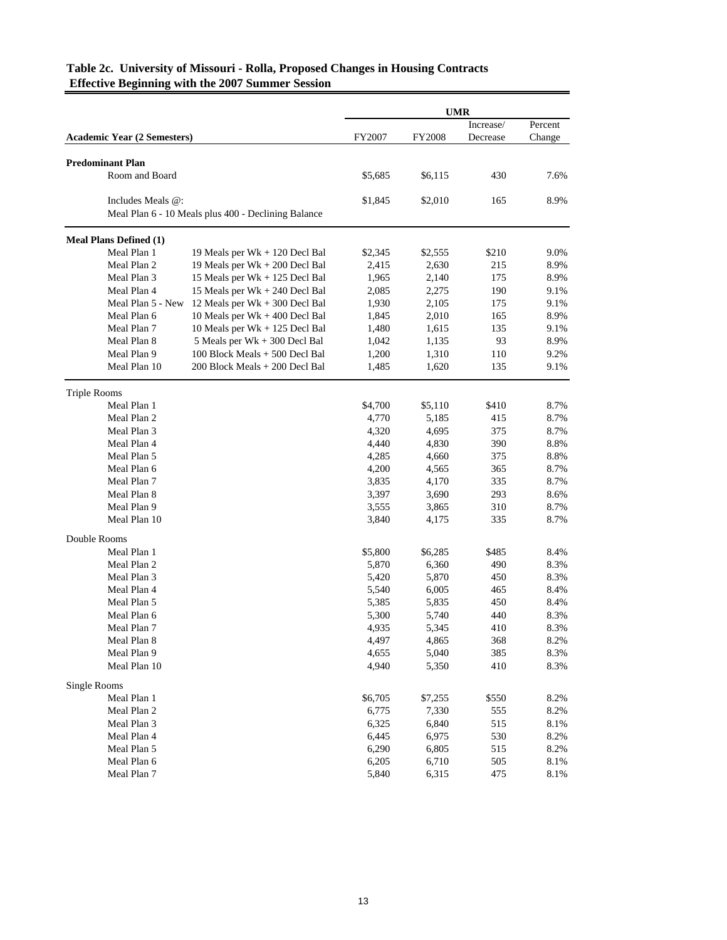|                                    |                                                     |         | <b>UMR</b>    |           |         |
|------------------------------------|-----------------------------------------------------|---------|---------------|-----------|---------|
|                                    |                                                     |         |               | Increase/ | Percent |
| <b>Academic Year (2 Semesters)</b> |                                                     | FY2007  | <b>FY2008</b> | Decrease  | Change  |
| <b>Predominant Plan</b>            |                                                     |         |               |           |         |
| Room and Board                     |                                                     | \$5,685 | \$6,115       | 430       | 7.6%    |
| Includes Meals @:                  |                                                     | \$1,845 | \$2,010       | 165       | 8.9%    |
|                                    | Meal Plan 6 - 10 Meals plus 400 - Declining Balance |         |               |           |         |
| <b>Meal Plans Defined (1)</b>      |                                                     |         |               |           |         |
| Meal Plan 1                        | 19 Meals per Wk + 120 Decl Bal                      | \$2,345 | \$2,555       | \$210     | 9.0%    |
| Meal Plan 2                        | 19 Meals per Wk + 200 Decl Bal                      | 2,415   | 2,630         | 215       | 8.9%    |
| Meal Plan 3                        | 15 Meals per Wk + 125 Decl Bal                      | 1,965   | 2,140         | 175       | 8.9%    |
| Meal Plan 4                        | 15 Meals per Wk + 240 Decl Bal                      | 2,085   | 2,275         | 190       | 9.1%    |
| Meal Plan 5 - New                  | 12 Meals per Wk + 300 Decl Bal                      | 1,930   | 2,105         | 175       | 9.1%    |
| Meal Plan 6                        | 10 Meals per $Wk + 400$ Decl Bal                    | 1,845   | 2,010         | 165       | 8.9%    |
| Meal Plan 7                        | 10 Meals per $Wk + 125$ Decl Bal                    | 1,480   | 1,615         | 135       | 9.1%    |
| Meal Plan 8                        | 5 Meals per Wk + 300 Decl Bal                       | 1,042   | 1,135         | 93        | 8.9%    |
| Meal Plan 9                        | 100 Block Meals + 500 Decl Bal                      | 1,200   | 1,310         | 110       | 9.2%    |
| Meal Plan 10                       | 200 Block Meals + 200 Decl Bal                      | 1,485   | 1,620         | 135       | 9.1%    |
| <b>Triple Rooms</b>                |                                                     |         |               |           |         |
| Meal Plan 1                        |                                                     | \$4,700 | \$5,110       | \$410     | 8.7%    |
| Meal Plan 2                        |                                                     | 4,770   | 5,185         | 415       | 8.7%    |
| Meal Plan 3                        |                                                     | 4,320   | 4,695         | 375       | 8.7%    |
| Meal Plan 4                        |                                                     | 4,440   | 4,830         | 390       | 8.8%    |
| Meal Plan 5                        |                                                     | 4,285   | 4,660         | 375       | 8.8%    |
| Meal Plan 6                        |                                                     | 4,200   | 4,565         | 365       | 8.7%    |
| Meal Plan 7                        |                                                     | 3,835   | 4,170         | 335       | 8.7%    |
| Meal Plan 8                        |                                                     | 3,397   | 3,690         | 293       | 8.6%    |
| Meal Plan 9                        |                                                     | 3,555   | 3,865         | 310       | 8.7%    |
| Meal Plan 10                       |                                                     | 3,840   | 4,175         | 335       | 8.7%    |
| Double Rooms                       |                                                     |         |               |           |         |
| Meal Plan 1                        |                                                     | \$5,800 | \$6,285       | \$485     | 8.4%    |
| Meal Plan 2                        |                                                     | 5,870   | 6,360         | 490       | 8.3%    |
| Meal Plan 3                        |                                                     | 5,420   | 5,870         | 450       | 8.3%    |
| Meal Plan 4                        |                                                     | 5,540   | 6,005         | 465       | 8.4%    |
| Meal Plan 5                        |                                                     | 5,385   | 5,835         | 450       | 8.4%    |
| Meal Plan 6                        |                                                     | 5,300   | 5,740         | 440       | 8.3%    |
| Meal Plan 7                        |                                                     | 4,935   | 5,345         | 410       | 8.3%    |
| Meal Plan 8                        |                                                     | 4,497   | 4,865         | 368       | 8.2%    |
| Meal Plan 9                        |                                                     | 4,655   | 5,040         | 385       | 8.3%    |
| Meal Plan 10                       |                                                     | 4,940   | 5,350         | 410       | 8.3%    |
| Single Rooms                       |                                                     |         |               |           |         |
| Meal Plan 1                        |                                                     | \$6,705 | \$7,255       | \$550     | 8.2%    |
| Meal Plan 2                        |                                                     | 6,775   | 7,330         | 555       | 8.2%    |
| Meal Plan 3                        |                                                     | 6,325   | 6,840         | 515       | 8.1%    |
| Meal Plan 4                        |                                                     | 6,445   | 6,975         | 530       | 8.2%    |
| Meal Plan 5                        |                                                     | 6,290   | 6,805         | 515       | 8.2%    |
| Meal Plan 6                        |                                                     | 6,205   | 6,710         | 505       | 8.1%    |
| Meal Plan 7                        |                                                     | 5,840   | 6,315         | 475       | 8.1%    |

### **Table 2c. University of Missouri - Rolla, Proposed Changes in Housing Contracts Effective Beginning with the 2007 Summer Session**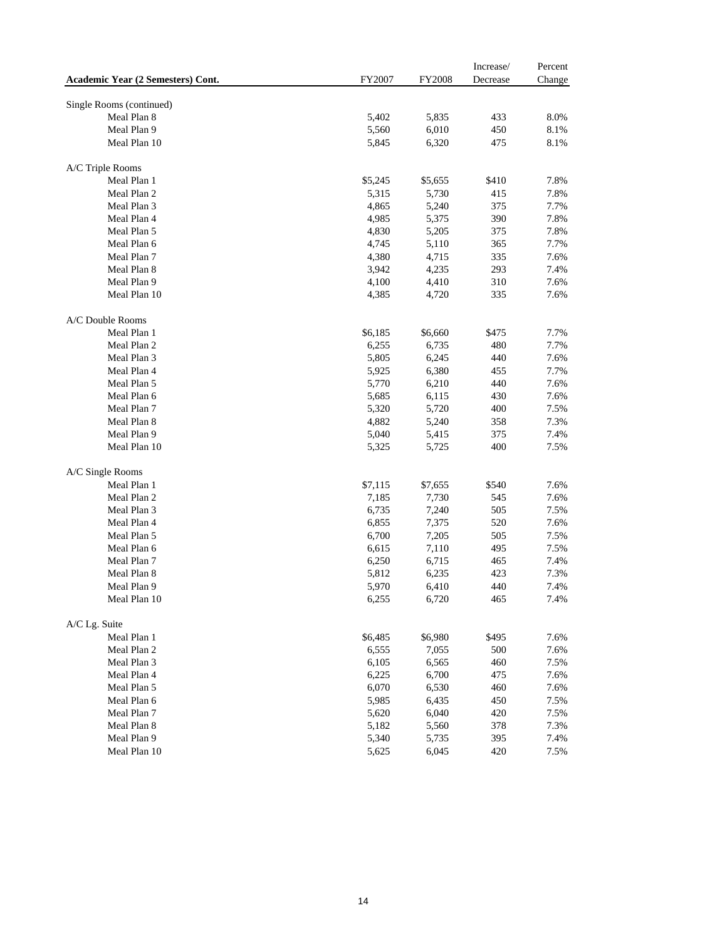|                                   |         |               | Increase/ | Percent |
|-----------------------------------|---------|---------------|-----------|---------|
| Academic Year (2 Semesters) Cont. | FY2007  | <b>FY2008</b> | Decrease  | Change  |
|                                   |         |               |           |         |
| Single Rooms (continued)          |         |               |           |         |
| Meal Plan 8                       | 5,402   | 5,835         | 433       | 8.0%    |
| Meal Plan 9                       | 5,560   | 6,010         | 450       | 8.1%    |
| Meal Plan 10                      | 5,845   | 6,320         | 475       | 8.1%    |
| A/C Triple Rooms                  |         |               |           |         |
| Meal Plan 1                       | \$5,245 | \$5,655       | \$410     | 7.8%    |
| Meal Plan 2                       | 5,315   | 5,730         | 415       | 7.8%    |
| Meal Plan 3                       | 4,865   | 5,240         | 375       | 7.7%    |
| Meal Plan 4                       | 4,985   | 5,375         | 390       | 7.8%    |
| Meal Plan 5                       | 4,830   | 5,205         | 375       | 7.8%    |
| Meal Plan 6                       | 4,745   | 5,110         | 365       | 7.7%    |
| Meal Plan 7                       | 4,380   | 4,715         | 335       | 7.6%    |
| Meal Plan 8                       | 3,942   | 4,235         | 293       | 7.4%    |
| Meal Plan 9                       | 4,100   | 4,410         | 310       | 7.6%    |
|                                   |         |               |           |         |
| Meal Plan 10                      | 4,385   | 4,720         | 335       | 7.6%    |
| A/C Double Rooms                  |         |               |           |         |
| Meal Plan 1                       | \$6,185 | \$6,660       | \$475     | 7.7%    |
| Meal Plan 2                       | 6,255   | 6,735         | 480       | 7.7%    |
| Meal Plan 3                       | 5,805   | 6,245         | 440       | 7.6%    |
| Meal Plan 4                       | 5,925   | 6,380         | 455       | 7.7%    |
| Meal Plan 5                       | 5,770   | 6,210         | 440       | 7.6%    |
| Meal Plan 6                       | 5,685   | 6,115         | 430       | 7.6%    |
| Meal Plan 7                       | 5,320   | 5,720         | 400       | 7.5%    |
| Meal Plan 8                       | 4,882   | 5,240         | 358       | 7.3%    |
| Meal Plan 9                       | 5,040   | 5,415         | 375       | 7.4%    |
| Meal Plan 10                      | 5,325   | 5,725         | 400       | 7.5%    |
| A/C Single Rooms                  |         |               |           |         |
| Meal Plan 1                       | \$7,115 | \$7,655       | \$540     | 7.6%    |
| Meal Plan 2                       | 7,185   | 7,730         | 545       | 7.6%    |
| Meal Plan 3                       | 6,735   | 7,240         | 505       | 7.5%    |
| Meal Plan 4                       | 6,855   | 7,375         | 520       | 7.6%    |
| Meal Plan 5                       | 6,700   | 7,205         | 505       | 7.5%    |
| Meal Plan 6                       | 6,615   | 7,110         | 495       | 7.5%    |
| Meal Plan 7                       | 6,250   | 6,715         | 465       | 7.4%    |
| Meal Plan 8                       | 5,812   | 6,235         | 423       | 7.3%    |
| Meal Plan 9                       | 5,970   | 6,410         | 440       | 7.4%    |
| Meal Plan 10                      | 6,255   | 6,720         | 465       | 7.4%    |
|                                   |         |               |           |         |
| A/C Lg. Suite                     |         |               |           |         |
| Meal Plan 1                       | \$6,485 | \$6,980       | \$495     | 7.6%    |
| Meal Plan 2                       | 6,555   | 7,055         | 500       | 7.6%    |
| Meal Plan 3                       | 6,105   | 6,565         | 460       | 7.5%    |
| Meal Plan 4                       | 6,225   | 6,700         | 475       | 7.6%    |
| Meal Plan 5                       | 6,070   | 6,530         | 460       | 7.6%    |
| Meal Plan 6                       | 5,985   | 6,435         | 450       | 7.5%    |
| Meal Plan 7                       | 5,620   | 6,040         | 420       | 7.5%    |
| Meal Plan 8                       | 5,182   | 5,560         | 378       | 7.3%    |
| Meal Plan 9                       | 5,340   | 5,735         | 395       | 7.4%    |
| Meal Plan 10                      | 5,625   | 6,045         | 420       | 7.5%    |
|                                   |         |               |           |         |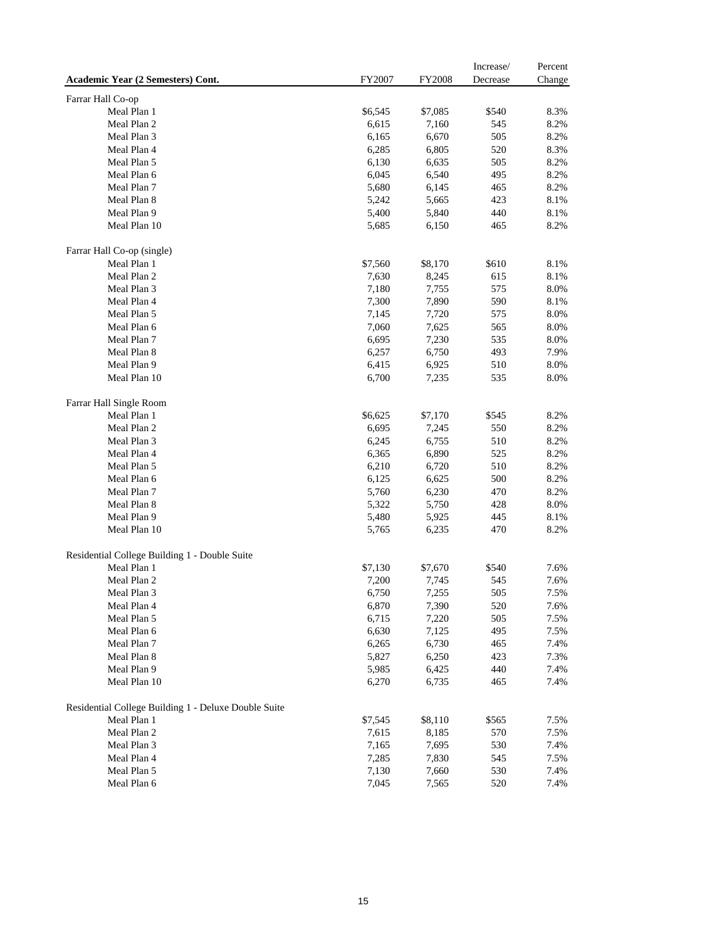|                                                      |         |         | Increase/ | Percent |
|------------------------------------------------------|---------|---------|-----------|---------|
| Academic Year (2 Semesters) Cont.                    | FY2007  | FY2008  | Decrease  | Change  |
| Farrar Hall Co-op                                    |         |         |           |         |
| Meal Plan 1                                          | \$6,545 | \$7,085 | \$540     | 8.3%    |
| Meal Plan 2                                          | 6,615   | 7,160   | 545       | 8.2%    |
| Meal Plan 3                                          | 6,165   | 6,670   | 505       | 8.2%    |
| Meal Plan 4                                          | 6,285   | 6,805   | 520       | 8.3%    |
| Meal Plan 5                                          | 6,130   | 6,635   | 505       | 8.2%    |
| Meal Plan 6                                          | 6,045   | 6,540   | 495       | 8.2%    |
| Meal Plan 7                                          | 5,680   | 6,145   | 465       | 8.2%    |
| Meal Plan 8                                          | 5,242   | 5,665   | 423       | 8.1%    |
| Meal Plan 9                                          | 5,400   | 5,840   | 440       | 8.1%    |
| Meal Plan 10                                         | 5,685   | 6,150   | 465       | 8.2%    |
| Farrar Hall Co-op (single)                           |         |         |           |         |
| Meal Plan 1                                          | \$7,560 | \$8,170 | \$610     | 8.1%    |
| Meal Plan 2                                          | 7,630   | 8,245   | 615       | 8.1%    |
| Meal Plan 3                                          | 7,180   | 7,755   | 575       | 8.0%    |
| Meal Plan 4                                          | 7,300   | 7,890   | 590       | 8.1%    |
| Meal Plan 5                                          | 7,145   | 7,720   | 575       | 8.0%    |
| Meal Plan 6                                          | 7,060   | 7,625   | 565       | 8.0%    |
| Meal Plan 7                                          | 6,695   | 7,230   | 535       | 8.0%    |
| Meal Plan 8                                          | 6,257   | 6,750   | 493       | 7.9%    |
| Meal Plan 9                                          | 6,415   | 6,925   | 510       | 8.0%    |
| Meal Plan 10                                         | 6,700   | 7,235   | 535       | 8.0%    |
| Farrar Hall Single Room                              |         |         |           |         |
| Meal Plan 1                                          | \$6,625 | \$7,170 | \$545     | 8.2%    |
| Meal Plan 2                                          | 6,695   | 7,245   | 550       | 8.2%    |
| Meal Plan 3                                          | 6,245   | 6,755   | 510       | 8.2%    |
| Meal Plan 4                                          | 6,365   | 6,890   | 525       | 8.2%    |
| Meal Plan 5                                          | 6,210   | 6,720   | 510       | 8.2%    |
| Meal Plan 6                                          | 6,125   | 6,625   | 500       | 8.2%    |
| Meal Plan 7                                          | 5,760   | 6,230   | 470       | 8.2%    |
| Meal Plan 8                                          | 5,322   | 5,750   | 428       | 8.0%    |
| Meal Plan 9                                          | 5,480   | 5,925   | 445       | 8.1%    |
| Meal Plan 10                                         | 5,765   | 6,235   | 470       | 8.2%    |
| Residential College Building 1 - Double Suite        |         |         |           |         |
| Meal Plan 1                                          | \$7,130 | \$7,670 | \$540     | 7.6%    |
| Meal Plan 2                                          | 7,200   | 7,745   | 545       | 7.6%    |
| Meal Plan 3                                          | 6,750   | 7,255   | 505       | 7.5%    |
| Meal Plan 4                                          | 6,870   | 7,390   | 520       | 7.6%    |
| Meal Plan 5                                          | 6,715   | 7,220   | 505       | 7.5%    |
| Meal Plan 6                                          | 6,630   | 7,125   | 495       | 7.5%    |
| Meal Plan 7                                          | 6,265   | 6,730   | 465       | 7.4%    |
| Meal Plan 8                                          | 5,827   | 6,250   | 423       | 7.3%    |
| Meal Plan 9                                          | 5,985   | 6,425   | 440       | 7.4%    |
| Meal Plan 10                                         | 6,270   | 6,735   | 465       | 7.4%    |
| Residential College Building 1 - Deluxe Double Suite |         |         |           |         |
| Meal Plan 1                                          | \$7,545 | \$8,110 | \$565     | 7.5%    |
| Meal Plan 2                                          | 7,615   | 8,185   | 570       | 7.5%    |
| Meal Plan 3                                          | 7,165   | 7,695   | 530       | 7.4%    |
| Meal Plan 4                                          | 7,285   | 7,830   | 545       | 7.5%    |
| Meal Plan 5                                          | 7,130   | 7,660   | 530       | 7.4%    |
| Meal Plan 6                                          | 7,045   | 7,565   | 520       | 7.4%    |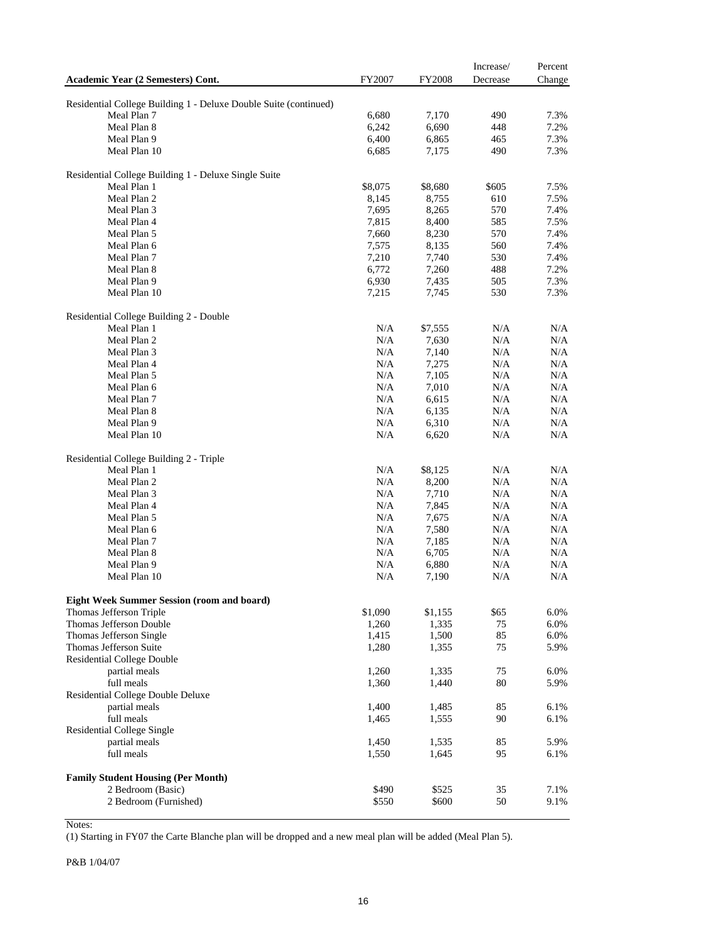|                                                                  |                  |                  | Increase/  | Percent      |
|------------------------------------------------------------------|------------------|------------------|------------|--------------|
| Academic Year (2 Semesters) Cont.                                | FY2007           | <b>FY2008</b>    | Decrease   | Change       |
|                                                                  |                  |                  |            |              |
| Residential College Building 1 - Deluxe Double Suite (continued) |                  |                  |            |              |
| Meal Plan 7                                                      | 6,680            | 7,170            | 490        | 7.3%         |
| Meal Plan 8                                                      | 6,242            | 6,690            | 448        | 7.2%         |
| Meal Plan 9                                                      | 6,400            | 6,865            | 465        | 7.3%         |
| Meal Plan 10                                                     | 6,685            | 7,175            | 490        | 7.3%         |
| Residential College Building 1 - Deluxe Single Suite             |                  |                  |            |              |
| Meal Plan 1                                                      | \$8,075          | \$8,680          | \$605      | 7.5%         |
| Meal Plan 2                                                      | 8,145            | 8,755            | 610        | 7.5%         |
| Meal Plan 3                                                      | 7,695            | 8,265            | 570        | 7.4%         |
| Meal Plan 4                                                      | 7,815            | 8,400            | 585        | 7.5%         |
| Meal Plan 5                                                      | 7,660            | 8,230            | 570        | 7.4%         |
| Meal Plan 6                                                      | 7,575            | 8,135            | 560        | 7.4%         |
| Meal Plan 7                                                      | 7,210            | 7,740            | 530        | 7.4%         |
| Meal Plan 8                                                      | 6,772            | 7,260            | 488        | 7.2%         |
| Meal Plan 9                                                      | 6,930            | 7,435            | 505        | 7.3%         |
| Meal Plan 10                                                     | 7,215            | 7,745            | 530        | 7.3%         |
|                                                                  |                  |                  |            |              |
| Residential College Building 2 - Double                          |                  |                  |            |              |
| Meal Plan 1                                                      | N/A              | \$7,555          | N/A        | N/A          |
| Meal Plan 2                                                      | $\rm N/A$        | 7,630            | N/A        | N/A          |
| Meal Plan 3                                                      | N/A              | 7,140            | N/A        | N/A          |
| Meal Plan 4                                                      | N/A              | 7,275            | N/A        | N/A          |
| Meal Plan 5                                                      | N/A              | 7,105            | N/A        | N/A          |
| Meal Plan 6                                                      | N/A              | 7,010            | N/A        | N/A          |
| Meal Plan 7                                                      | N/A              | 6,615            | N/A        | N/A          |
| Meal Plan 8                                                      | N/A              | 6,135            | N/A        | N/A          |
| Meal Plan 9                                                      | N/A              | 6,310            | N/A        | N/A          |
| Meal Plan 10                                                     | N/A              | 6,620            | N/A        | N/A          |
| Residential College Building 2 - Triple                          |                  |                  |            |              |
| Meal Plan 1                                                      | N/A              | \$8,125          | N/A        | N/A          |
| Meal Plan 2                                                      | N/A              | 8,200            | N/A        | N/A          |
| Meal Plan 3                                                      | N/A              | 7,710            | N/A        | N/A          |
| Meal Plan 4                                                      | N/A              | 7,845            | N/A        | N/A          |
| Meal Plan 5                                                      | N/A              | 7,675            | N/A        | N/A          |
| Meal Plan 6                                                      | N/A              | 7,580            | N/A        | N/A          |
| Meal Plan 7                                                      | N/A              | 7,185            | N/A        | N/A          |
| Meal Plan 8                                                      | N/A              | 6,705            | N/A        | N/A          |
| Meal Plan 9                                                      | N/A              | 6,880            | N/A        | N/A          |
| Meal Plan 10                                                     | N/A              | 7,190            | N/A        | N/A          |
|                                                                  |                  |                  |            |              |
| <b>Eight Week Summer Session (room and board)</b>                |                  |                  |            |              |
| Thomas Jefferson Triple<br>Thomas Jefferson Double               | \$1,090<br>1,260 | \$1,155<br>1,335 | \$65<br>75 | 6.0%<br>6.0% |
| Thomas Jefferson Single                                          |                  |                  | 85         | 6.0%         |
| Thomas Jefferson Suite                                           | 1,415<br>1,280   | 1,500            | 75         | 5.9%         |
| Residential College Double                                       |                  | 1,355            |            |              |
| partial meals                                                    | 1,260            | 1,335            | 75         | 6.0%         |
| full meals                                                       | 1,360            | 1,440            | 80         | 5.9%         |
| Residential College Double Deluxe                                |                  |                  |            |              |
| partial meals                                                    | 1,400            | 1,485            | 85         | 6.1%         |
| full meals                                                       | 1,465            | 1,555            | 90         | 6.1%         |
| Residential College Single                                       |                  |                  |            |              |
| partial meals                                                    | 1,450            | 1,535            | 85         | 5.9%         |
| full meals                                                       | 1,550            | 1,645            | 95         | 6.1%         |
|                                                                  |                  |                  |            |              |
| <b>Family Student Housing (Per Month)</b>                        |                  |                  |            |              |
| 2 Bedroom (Basic)                                                | \$490            | \$525            | 35         | 7.1%         |
| 2 Bedroom (Furnished)                                            | \$550            | \$600            | 50         | 9.1%         |
|                                                                  |                  |                  |            |              |

Notes:

(1) Starting in FY07 the Carte Blanche plan will be dropped and a new meal plan will be added (Meal Plan 5).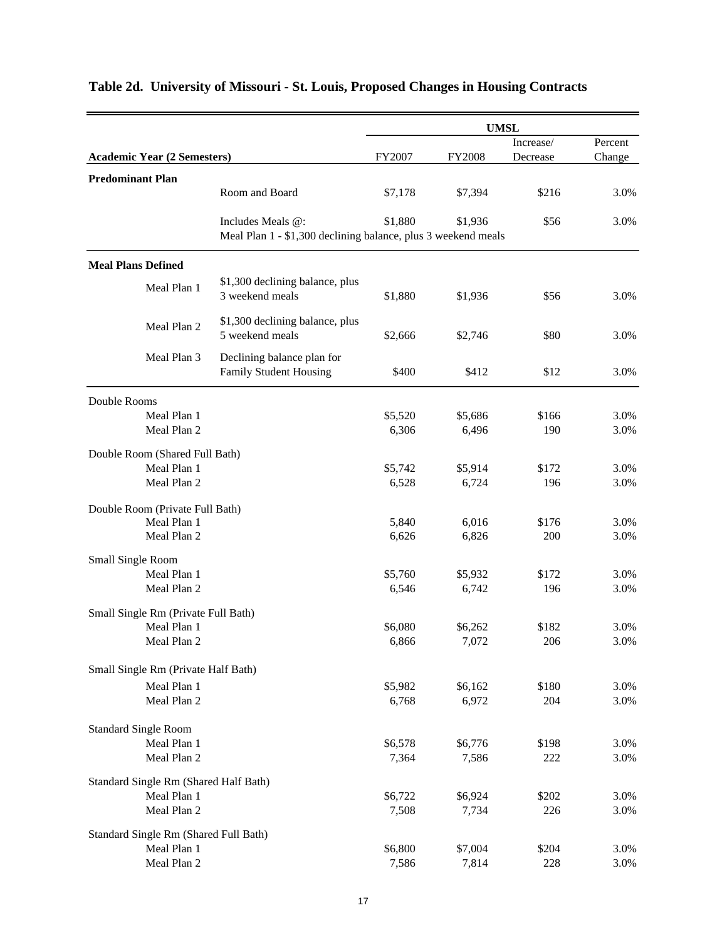|                                       |                            |                                                               |         |         | <b>UMSL</b>  |              |
|---------------------------------------|----------------------------|---------------------------------------------------------------|---------|---------|--------------|--------------|
|                                       |                            |                                                               |         |         | Increase/    | Percent      |
| <b>Academic Year (2 Semesters)</b>    |                            |                                                               | FY2007  | FY2008  | Decrease     | Change       |
| <b>Predominant Plan</b>               |                            |                                                               |         |         |              |              |
|                                       |                            | Room and Board                                                | \$7,178 | \$7,394 | \$216        | 3.0%         |
|                                       |                            | Includes Meals @:                                             | \$1,880 | \$1,936 | \$56         | 3.0%         |
|                                       |                            | Meal Plan 1 - \$1,300 declining balance, plus 3 weekend meals |         |         |              |              |
| <b>Meal Plans Defined</b>             |                            |                                                               |         |         |              |              |
|                                       | Meal Plan 1                | \$1,300 declining balance, plus                               |         |         |              |              |
|                                       |                            | 3 weekend meals                                               | \$1,880 | \$1,936 | \$56         | 3.0%         |
|                                       | Meal Plan 2                | \$1,300 declining balance, plus                               |         |         |              |              |
|                                       |                            | 5 weekend meals                                               | \$2,666 | \$2,746 | \$80         | 3.0%         |
|                                       | Meal Plan 3                | Declining balance plan for                                    |         |         |              |              |
|                                       |                            | Family Student Housing                                        | \$400   | \$412   | \$12         | 3.0%         |
| Double Rooms                          |                            |                                                               |         |         |              |              |
|                                       | Meal Plan 1                |                                                               | \$5,520 | \$5,686 | \$166        | 3.0%         |
|                                       | Meal Plan 2                |                                                               | 6,306   | 6,496   | 190          | 3.0%         |
| Double Room (Shared Full Bath)        |                            |                                                               |         |         |              |              |
|                                       | Meal Plan 1                |                                                               | \$5,742 | \$5,914 | \$172        | 3.0%         |
|                                       | Meal Plan 2                |                                                               | 6,528   | 6,724   | 196          | 3.0%         |
| Double Room (Private Full Bath)       |                            |                                                               |         |         |              |              |
|                                       | Meal Plan 1                |                                                               | 5,840   | 6,016   | \$176        | 3.0%         |
|                                       | Meal Plan 2                |                                                               | 6,626   | 6,826   | 200          | 3.0%         |
| Small Single Room                     |                            |                                                               |         |         |              |              |
|                                       | Meal Plan 1                |                                                               | \$5,760 | \$5,932 | \$172        | 3.0%         |
|                                       | Meal Plan 2                |                                                               | 6,546   | 6,742   | 196          | 3.0%         |
|                                       |                            |                                                               |         |         |              |              |
| Small Single Rm (Private Full Bath)   |                            |                                                               |         |         |              |              |
|                                       | Meal Plan 1<br>Meal Plan 2 |                                                               | \$6,080 | \$6,262 | \$182<br>206 | 3.0%<br>3.0% |
|                                       |                            |                                                               | 6,866   | 7,072   |              |              |
| Small Single Rm (Private Half Bath)   |                            |                                                               |         |         |              |              |
|                                       | Meal Plan 1                |                                                               | \$5,982 | \$6,162 | \$180        | 3.0%         |
|                                       | Meal Plan 2                |                                                               | 6,768   | 6,972   | 204          | 3.0%         |
| <b>Standard Single Room</b>           |                            |                                                               |         |         |              |              |
|                                       | Meal Plan 1                |                                                               | \$6,578 | \$6,776 | \$198        | 3.0%         |
|                                       | Meal Plan 2                |                                                               | 7,364   | 7,586   | 222          | 3.0%         |
| Standard Single Rm (Shared Half Bath) |                            |                                                               |         |         |              |              |
|                                       | Meal Plan 1                |                                                               | \$6,722 | \$6,924 | \$202        | 3.0%         |
|                                       | Meal Plan 2                |                                                               | 7,508   | 7,734   | 226          | 3.0%         |
|                                       |                            |                                                               |         |         |              |              |
| Standard Single Rm (Shared Full Bath) | Meal Plan 1                |                                                               | \$6,800 | \$7,004 | \$204        | 3.0%         |
|                                       | Meal Plan 2                |                                                               | 7,586   | 7,814   | 228          | 3.0%         |

# **Table 2d. University of Missouri - St. Louis, Proposed Changes in Housing Contracts**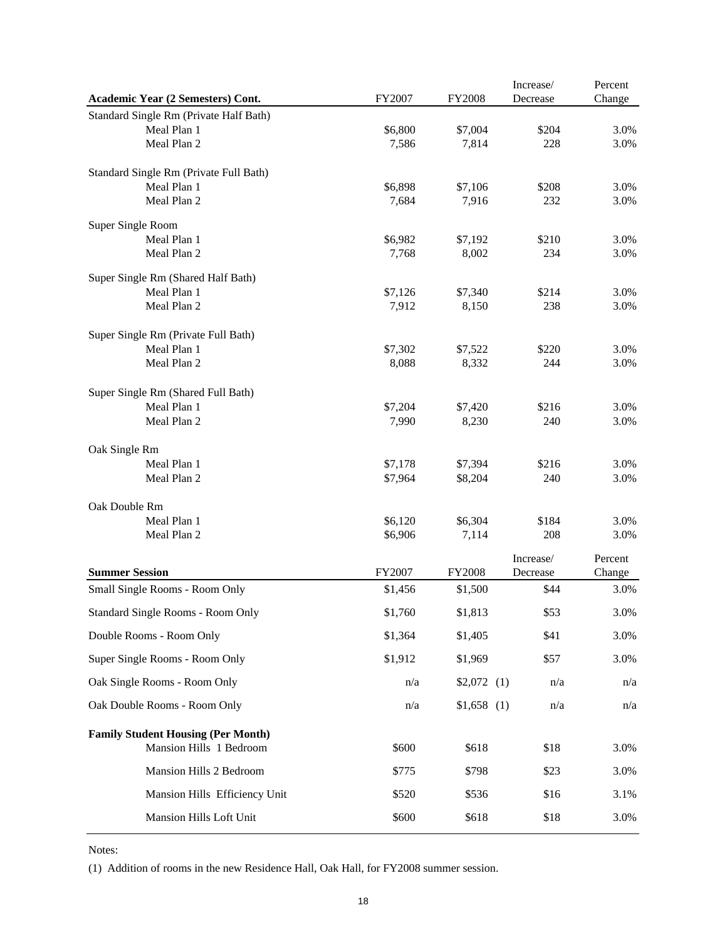|                                           |         |               | Increase/ | Percent |
|-------------------------------------------|---------|---------------|-----------|---------|
| Academic Year (2 Semesters) Cont.         | FY2007  | <b>FY2008</b> | Decrease  | Change  |
| Standard Single Rm (Private Half Bath)    |         |               |           |         |
| Meal Plan 1                               | \$6,800 | \$7,004       | \$204     | 3.0%    |
| Meal Plan 2                               | 7,586   | 7,814         | 228       | 3.0%    |
| Standard Single Rm (Private Full Bath)    |         |               |           |         |
| Meal Plan 1                               | \$6,898 | \$7,106       | \$208     | 3.0%    |
| Meal Plan 2                               | 7,684   | 7,916         | 232       | 3.0%    |
| Super Single Room                         |         |               |           |         |
| Meal Plan 1                               | \$6,982 | \$7,192       | \$210     | 3.0%    |
| Meal Plan 2                               | 7,768   | 8,002         | 234       | 3.0%    |
| Super Single Rm (Shared Half Bath)        |         |               |           |         |
| Meal Plan 1                               | \$7,126 | \$7,340       | \$214     | 3.0%    |
| Meal Plan 2                               | 7,912   | 8,150         | 238       | 3.0%    |
| Super Single Rm (Private Full Bath)       |         |               |           |         |
| Meal Plan 1                               | \$7,302 | \$7,522       | \$220     | 3.0%    |
| Meal Plan 2                               | 8,088   | 8,332         | 244       | 3.0%    |
| Super Single Rm (Shared Full Bath)        |         |               |           |         |
| Meal Plan 1                               | \$7,204 | \$7,420       | \$216     | 3.0%    |
| Meal Plan 2                               | 7,990   | 8,230         | 240       | 3.0%    |
| Oak Single Rm                             |         |               |           |         |
| Meal Plan 1                               | \$7,178 | \$7,394       | \$216     | 3.0%    |
| Meal Plan 2                               | \$7,964 | \$8,204       | 240       | 3.0%    |
| Oak Double Rm                             |         |               |           |         |
| Meal Plan 1                               | \$6,120 | \$6,304       | \$184     | 3.0%    |
| Meal Plan 2                               | \$6,906 | 7,114         | 208       | 3.0%    |
|                                           |         |               | Increase/ | Percent |
| <b>Summer Session</b>                     | FY2007  | <b>FY2008</b> | Decrease  | Change  |
| Small Single Rooms - Room Only            | \$1,456 | \$1,500       | \$44      | 3.0%    |
| Standard Single Rooms - Room Only         | \$1,760 | \$1,813       | \$53      | 3.0%    |
| Double Rooms - Room Only                  | \$1,364 | \$1,405       | \$41      | 3.0%    |
| Super Single Rooms - Room Only            | \$1,912 | \$1,969       | \$57      | 3.0%    |
| Oak Single Rooms - Room Only              | n/a     | $$2,072$ (1)  | n/a       | n/a     |
| Oak Double Rooms - Room Only              | n/a     | $$1,658$ (1)  | n/a       | n/a     |
| <b>Family Student Housing (Per Month)</b> |         |               |           |         |
| Mansion Hills 1 Bedroom                   | \$600   | \$618         | \$18      | 3.0%    |
| Mansion Hills 2 Bedroom                   | \$775   | \$798         | \$23      | 3.0%    |
| Mansion Hills Efficiency Unit             | \$520   | \$536         | \$16      | 3.1%    |
| Mansion Hills Loft Unit                   | \$600   | \$618         | \$18      | 3.0%    |

Notes:

(1) Addition of rooms in the new Residence Hall, Oak Hall, for FY2008 summer session.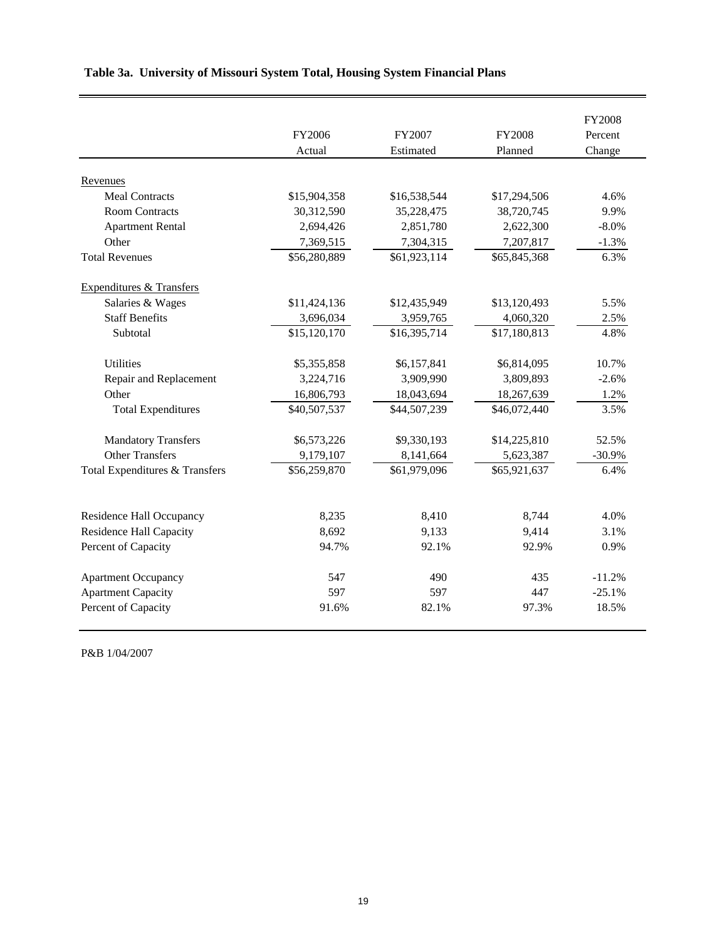|                                     | FY2006       | FY2007       | <b>FY2008</b> | <b>FY2008</b><br>Percent |
|-------------------------------------|--------------|--------------|---------------|--------------------------|
|                                     | Actual       | Estimated    | Planned       | Change                   |
| Revenues                            |              |              |               |                          |
| <b>Meal Contracts</b>               | \$15,904,358 | \$16,538,544 | \$17,294,506  | 4.6%                     |
| <b>Room Contracts</b>               | 30,312,590   | 35,228,475   | 38,720,745    | 9.9%                     |
| <b>Apartment Rental</b>             | 2,694,426    | 2,851,780    | 2,622,300     | $-8.0\%$                 |
| Other                               | 7,369,515    | 7,304,315    | 7,207,817     | $-1.3%$                  |
| <b>Total Revenues</b>               | \$56,280,889 | \$61,923,114 | \$65,845,368  | 6.3%                     |
| <b>Expenditures &amp; Transfers</b> |              |              |               |                          |
| Salaries & Wages                    | \$11,424,136 | \$12,435,949 | \$13,120,493  | 5.5%                     |
| <b>Staff Benefits</b>               | 3,696,034    | 3,959,765    | 4,060,320     | 2.5%                     |
| Subtotal                            | \$15,120,170 | \$16,395,714 | \$17,180,813  | 4.8%                     |
| <b>Utilities</b>                    | \$5,355,858  | \$6,157,841  | \$6,814,095   | 10.7%                    |
| Repair and Replacement              | 3,224,716    | 3,909,990    | 3,809,893     | $-2.6%$                  |
| Other                               | 16,806,793   | 18,043,694   | 18,267,639    | 1.2%                     |
| <b>Total Expenditures</b>           | \$40,507,537 | \$44,507,239 | \$46,072,440  | 3.5%                     |
| <b>Mandatory Transfers</b>          | \$6,573,226  | \$9,330,193  | \$14,225,810  | 52.5%                    |
| <b>Other Transfers</b>              | 9,179,107    | 8,141,664    | 5,623,387     | $-30.9%$                 |
| Total Expenditures & Transfers      | \$56,259,870 | \$61,979,096 | \$65,921,637  | 6.4%                     |
|                                     |              |              |               |                          |
| Residence Hall Occupancy            | 8,235        | 8,410        | 8,744         | 4.0%                     |
| <b>Residence Hall Capacity</b>      | 8,692        | 9,133        | 9,414         | 3.1%                     |
| Percent of Capacity                 | 94.7%        | 92.1%        | 92.9%         | 0.9%                     |
| <b>Apartment Occupancy</b>          | 547          | 490          | 435           | $-11.2%$                 |
| <b>Apartment Capacity</b>           | 597          | 597          | 447           | $-25.1%$                 |
| Percent of Capacity                 | 91.6%        | 82.1%        | 97.3%         | 18.5%                    |

## **Table 3a. University of Missouri System Total, Housing System Financial Plans**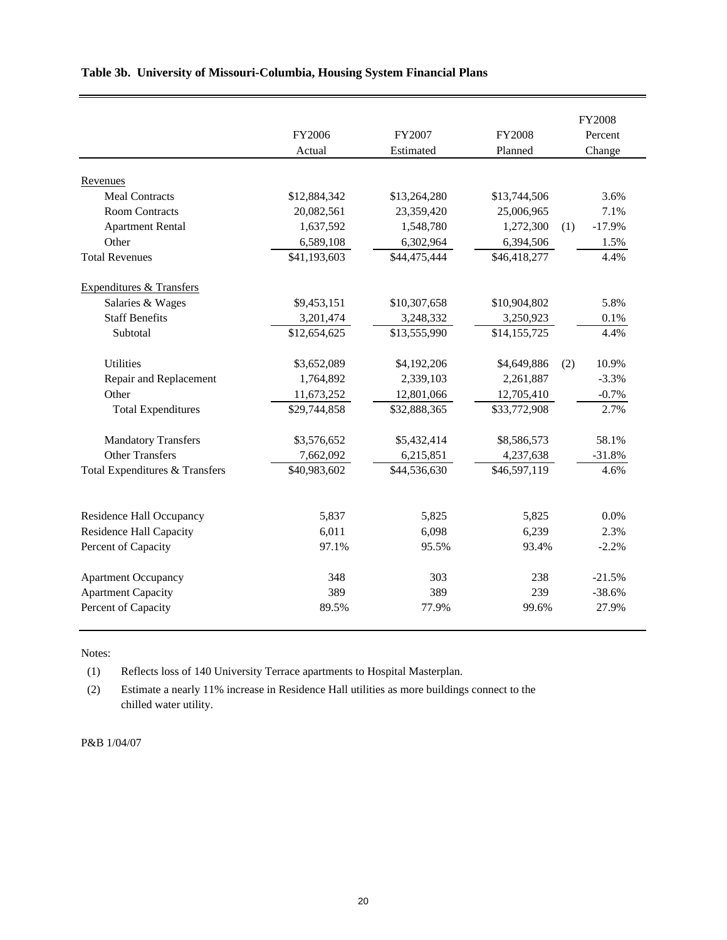|                                     |              |              |               | <b>FY2008</b>   |
|-------------------------------------|--------------|--------------|---------------|-----------------|
|                                     | FY2006       | FY2007       | <b>FY2008</b> | Percent         |
|                                     | Actual       | Estimated    | Planned       | Change          |
|                                     |              |              |               |                 |
| Revenues<br><b>Meal Contracts</b>   |              |              |               | 3.6%            |
|                                     | \$12,884,342 | \$13,264,280 | \$13,744,506  |                 |
| <b>Room Contracts</b>               | 20,082,561   | 23,359,420   | 25,006,965    | 7.1%            |
| <b>Apartment Rental</b>             | 1,637,592    | 1,548,780    | 1,272,300     | $-17.9%$<br>(1) |
| Other                               | 6,589,108    | 6,302,964    | 6,394,506     | 1.5%            |
| <b>Total Revenues</b>               | \$41,193,603 | \$44,475,444 | \$46,418,277  | 4.4%            |
| <b>Expenditures &amp; Transfers</b> |              |              |               |                 |
| Salaries & Wages                    | \$9,453,151  | \$10,307,658 | \$10,904,802  | 5.8%            |
| <b>Staff Benefits</b>               | 3,201,474    | 3,248,332    | 3,250,923     | 0.1%            |
| Subtotal                            | \$12,654,625 | \$13,555,990 | \$14,155,725  | 4.4%            |
|                                     |              |              |               |                 |
| <b>Utilities</b>                    | \$3,652,089  | \$4,192,206  | \$4,649,886   | 10.9%<br>(2)    |
| Repair and Replacement              | 1,764,892    | 2,339,103    | 2,261,887     | $-3.3%$         |
| Other                               | 11,673,252   | 12,801,066   | 12,705,410    | $-0.7%$         |
| <b>Total Expenditures</b>           | \$29,744,858 | \$32,888,365 | \$33,772,908  | 2.7%            |
| <b>Mandatory Transfers</b>          | \$3,576,652  | \$5,432,414  | \$8,586,573   | 58.1%           |
| <b>Other Transfers</b>              | 7,662,092    | 6,215,851    | 4,237,638     | $-31.8%$        |
| Total Expenditures & Transfers      | \$40,983,602 | \$44,536,630 | \$46,597,119  | 4.6%            |
|                                     |              |              |               |                 |
| Residence Hall Occupancy            | 5,837        | 5,825        | 5,825         | 0.0%            |
| <b>Residence Hall Capacity</b>      | 6,011        | 6,098        | 6,239         | 2.3%            |
| Percent of Capacity                 | 97.1%        | 95.5%        | 93.4%         | $-2.2%$         |
| <b>Apartment Occupancy</b>          | 348          | 303          | 238           | $-21.5%$        |
| <b>Apartment Capacity</b>           | 389          | 389          | 239           | $-38.6%$        |
| Percent of Capacity                 | 89.5%        | 77.9%        | 99.6%         | 27.9%           |
|                                     |              |              |               |                 |

### **Table 3b. University of Missouri-Columbia, Housing System Financial Plans**

Notes:

(1) Reflects loss of 140 University Terrace apartments to Hospital Masterplan.

(2) Estimate a nearly 11% increase in Residence Hall utilities as more buildings connect to the chilled water utility.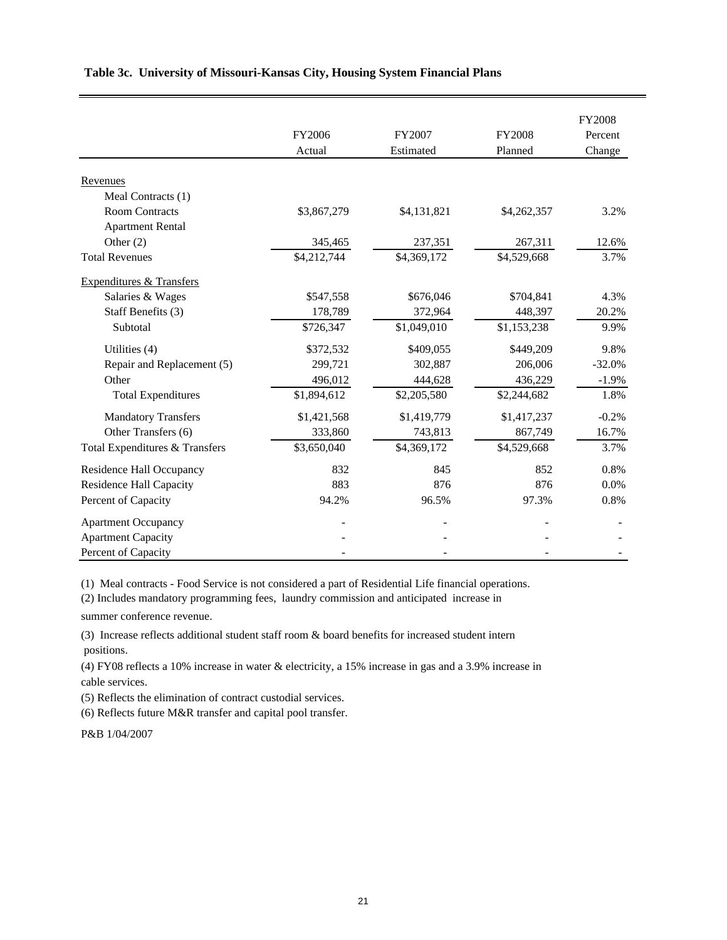|                                     |             |             |               | <b>FY2008</b> |
|-------------------------------------|-------------|-------------|---------------|---------------|
|                                     | FY2006      | FY2007      | <b>FY2008</b> | Percent       |
|                                     | Actual      | Estimated   | Planned       | Change        |
| Revenues                            |             |             |               |               |
| Meal Contracts (1)                  |             |             |               |               |
| <b>Room Contracts</b>               | \$3,867,279 | \$4,131,821 | \$4,262,357   | 3.2%          |
| <b>Apartment Rental</b>             |             |             |               |               |
| Other $(2)$                         | 345,465     | 237,351     | 267,311       | 12.6%         |
| <b>Total Revenues</b>               | \$4,212,744 | \$4,369,172 | \$4,529,668   | 3.7%          |
| <b>Expenditures &amp; Transfers</b> |             |             |               |               |
| Salaries & Wages                    | \$547,558   | \$676,046   | \$704,841     | 4.3%          |
| Staff Benefits (3)                  | 178,789     | 372,964     | 448,397       | 20.2%         |
| Subtotal                            | \$726,347   | \$1,049,010 | \$1,153,238   | 9.9%          |
| Utilities (4)                       | \$372,532   | \$409,055   | \$449,209     | 9.8%          |
| Repair and Replacement (5)          | 299,721     | 302,887     | 206,006       | $-32.0%$      |
| Other                               | 496,012     | 444,628     | 436,229       | $-1.9%$       |
| <b>Total Expenditures</b>           | \$1,894,612 | \$2,205,580 | \$2,244,682   | 1.8%          |
| <b>Mandatory Transfers</b>          | \$1,421,568 | \$1,419,779 | \$1,417,237   | $-0.2%$       |
| Other Transfers (6)                 | 333,860     | 743,813     | 867,749       | 16.7%         |
| Total Expenditures & Transfers      | \$3,650,040 | \$4,369,172 | \$4,529,668   | 3.7%          |
| <b>Residence Hall Occupancy</b>     | 832         | 845         | 852           | 0.8%          |
| <b>Residence Hall Capacity</b>      | 883         | 876         | 876           | 0.0%          |
| Percent of Capacity                 | 94.2%       | 96.5%       | 97.3%         | 0.8%          |
| <b>Apartment Occupancy</b>          |             |             |               |               |
| <b>Apartment Capacity</b>           |             |             |               |               |
| Percent of Capacity                 |             |             |               |               |

### **Table 3c. University of Missouri-Kansas City, Housing System Financial Plans**

(1) Meal contracts - Food Service is not considered a part of Residential Life financial operations.

(2) Includes mandatory programming fees, laundry commission and anticipated increase in

summer conference revenue.

(3) Increase reflects additional student staff room & board benefits for increased student intern positions.

(4) FY08 reflects a 10% increase in water & electricity, a 15% increase in gas and a 3.9% increase in cable services.

(5) Reflects the elimination of contract custodial services.

(6) Reflects future M&R transfer and capital pool transfer.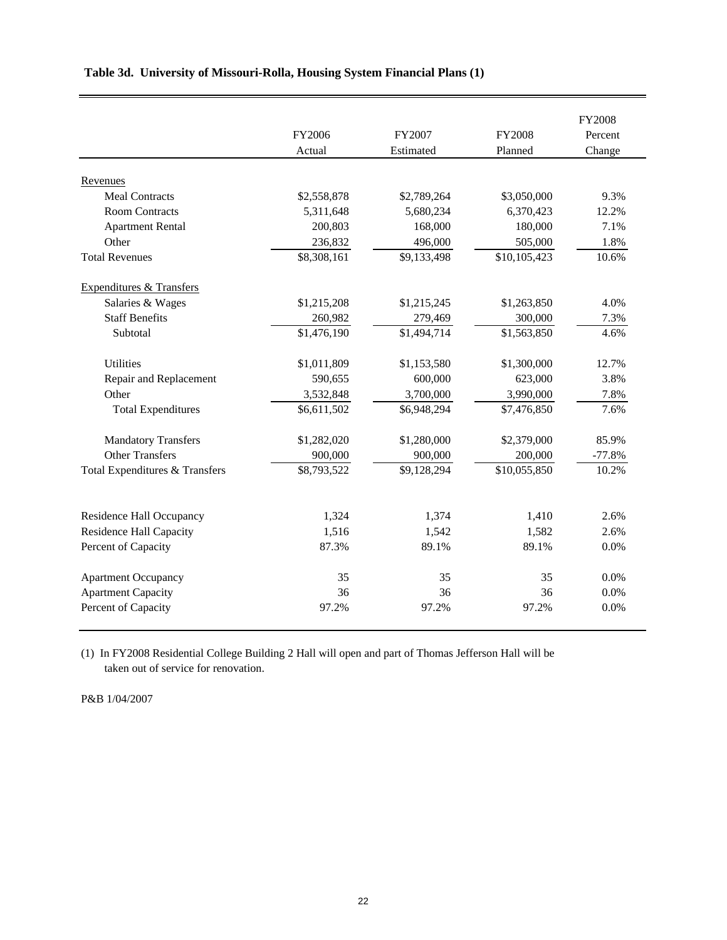|                                     | FY2006<br>Actual        | FY2007<br>Estimated      | <b>FY2008</b><br>Planned | <b>FY2008</b><br>Percent<br>Change |
|-------------------------------------|-------------------------|--------------------------|--------------------------|------------------------------------|
| Revenues                            |                         |                          |                          |                                    |
| <b>Meal Contracts</b>               | \$2,558,878             | \$2,789,264              | \$3,050,000              | 9.3%                               |
| <b>Room Contracts</b>               | 5,311,648               | 5,680,234                | 6,370,423                | 12.2%                              |
| <b>Apartment Rental</b>             | 200,803                 | 168,000                  | 180,000                  | 7.1%                               |
| Other                               | 236,832                 | 496,000                  | 505,000                  | 1.8%                               |
| <b>Total Revenues</b>               | $\overline{$8,308,161}$ | $\overline{\$9,133,498}$ | \$10,105,423             | 10.6%                              |
| <b>Expenditures &amp; Transfers</b> |                         |                          |                          |                                    |
| Salaries & Wages                    | \$1,215,208             | \$1,215,245              | \$1,263,850              | 4.0%                               |
| <b>Staff Benefits</b>               | 260,982                 | 279,469                  | 300,000                  | 7.3%                               |
| Subtotal                            | \$1,476,190             | \$1,494,714              | \$1,563,850              | 4.6%                               |
| <b>Utilities</b>                    | \$1,011,809             | \$1,153,580              | \$1,300,000              | 12.7%                              |
| Repair and Replacement              | 590,655                 | 600,000                  | 623,000                  | 3.8%                               |
| Other                               | 3,532,848               | 3,700,000                | 3,990,000                | 7.8%                               |
| <b>Total Expenditures</b>           | \$6,611,502             | \$6,948,294              | \$7,476,850              | 7.6%                               |
| <b>Mandatory Transfers</b>          | \$1,282,020             | \$1,280,000              | \$2,379,000              | 85.9%                              |
| <b>Other Transfers</b>              | 900,000                 | 900,000                  | 200,000                  | $-77.8%$                           |
| Total Expenditures & Transfers      | \$8,793,522             | \$9,128,294              | \$10,055,850             | 10.2%                              |
| Residence Hall Occupancy            | 1,324                   | 1,374                    | 1,410                    | 2.6%                               |
| <b>Residence Hall Capacity</b>      | 1,516                   | 1,542                    | 1,582                    | 2.6%                               |
| Percent of Capacity                 | 87.3%                   | 89.1%                    | 89.1%                    | 0.0%                               |
|                                     |                         |                          |                          |                                    |
| <b>Apartment Occupancy</b>          | 35                      | 35                       | 35                       | 0.0%                               |
| <b>Apartment Capacity</b>           | 36                      | 36                       | 36                       | 0.0%                               |
| Percent of Capacity                 | 97.2%                   | 97.2%                    | 97.2%                    | 0.0%                               |

### **Table 3d. University of Missouri-Rolla, Housing System Financial Plans (1)**

(1) In FY2008 Residential College Building 2 Hall will open and part of Thomas Jefferson Hall will be taken out of service for renovation.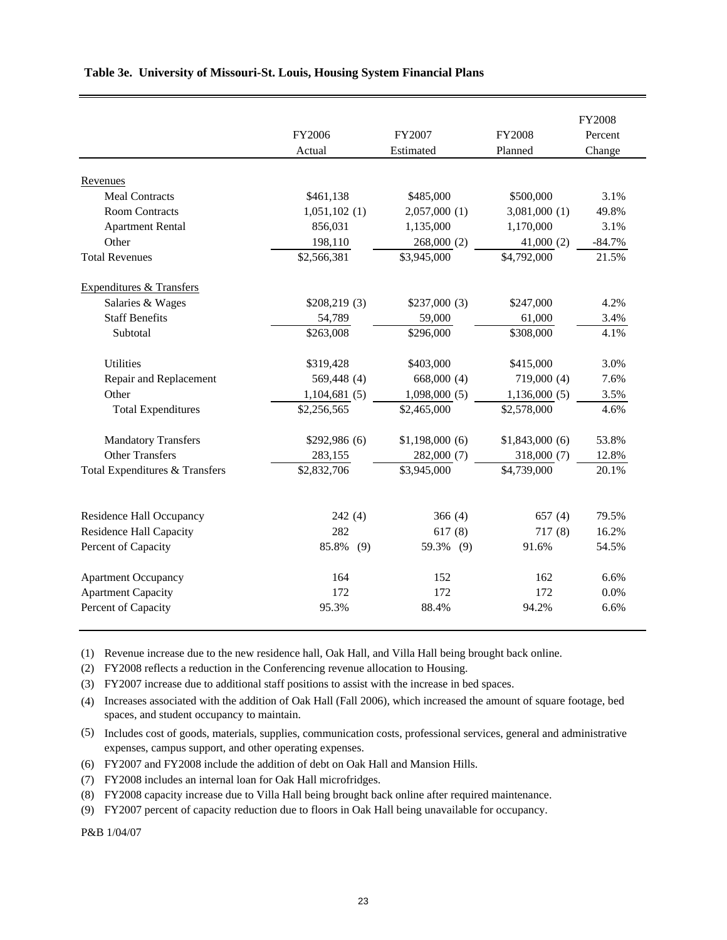|                                     |               |                |                | <b>FY2008</b> |
|-------------------------------------|---------------|----------------|----------------|---------------|
|                                     | FY2006        | FY2007         | <b>FY2008</b>  | Percent       |
|                                     | Actual        | Estimated      | Planned        | Change        |
| Revenues                            |               |                |                |               |
| <b>Meal Contracts</b>               | \$461,138     | \$485,000      | \$500,000      | 3.1%          |
| <b>Room Contracts</b>               | 1,051,102(1)  | 2,057,000(1)   | 3,081,000(1)   | 49.8%         |
| <b>Apartment Rental</b>             | 856,031       | 1,135,000      | 1,170,000      | 3.1%          |
| Other                               | 198,110       | 268,000 (2)    | 41,000(2)      | $-84.7%$      |
| <b>Total Revenues</b>               | \$2,566,381   | \$3,945,000    | \$4,792,000    | 21.5%         |
| <b>Expenditures &amp; Transfers</b> |               |                |                |               |
| Salaries & Wages                    | \$208,219(3)  | \$237,000(3)   | \$247,000      | 4.2%          |
| <b>Staff Benefits</b>               | 54,789        | 59,000         | 61,000         | 3.4%          |
| Subtotal                            | \$263,008     | \$296,000      | \$308,000      | 4.1%          |
| <b>Utilities</b>                    | \$319,428     | \$403,000      | \$415,000      | 3.0%          |
| Repair and Replacement              | 569,448 (4)   | 668,000 (4)    | 719,000 (4)    | 7.6%          |
| Other                               | 1,104,681(5)  | 1,098,000(5)   | 1,136,000(5)   | 3.5%          |
| <b>Total Expenditures</b>           | \$2,256,565   | \$2,465,000    | \$2,578,000    | 4.6%          |
| <b>Mandatory Transfers</b>          | \$292,986 (6) | \$1,198,000(6) | \$1,843,000(6) | 53.8%         |
| <b>Other Transfers</b>              | 283,155       | 282,000 (7)    | 318,000 (7)    | 12.8%         |
| Total Expenditures & Transfers      | \$2,832,706   | \$3,945,000    | \$4,739,000    | 20.1%         |
|                                     |               |                |                |               |
| <b>Residence Hall Occupancy</b>     | 242(4)        | 366(4)         | 657(4)         | 79.5%         |
| <b>Residence Hall Capacity</b>      | 282           | 617(8)         | 717(8)         | 16.2%         |
| Percent of Capacity                 | 85.8%<br>(9)  | 59.3% (9)      | 91.6%          | 54.5%         |
| <b>Apartment Occupancy</b>          | 164           | 152            | 162            | 6.6%          |
| <b>Apartment Capacity</b>           | 172           | 172            | 172            | 0.0%          |
| Percent of Capacity                 | 95.3%         | 88.4%          | 94.2%          | 6.6%          |

### **Table 3e. University of Missouri-St. Louis, Housing System Financial Plans**

(1) Revenue increase due to the new residence hall, Oak Hall, and Villa Hall being brought back online.

(2) FY2008 reflects a reduction in the Conferencing revenue allocation to Housing.

(3) FY2007 increase due to additional staff positions to assist with the increase in bed spaces.

(4) Increases associated with the addition of Oak Hall (Fall 2006), which increased the amount of square footage, bed spaces, and student occupancy to maintain.

- (5) Includes cost of goods, materials, supplies, communication costs, professional services, general and administrative expenses, campus support, and other operating expenses.
- (6) FY2007 and FY2008 include the addition of debt on Oak Hall and Mansion Hills.
- (7) FY2008 includes an internal loan for Oak Hall microfridges.

(8) FY2008 capacity increase due to Villa Hall being brought back online after required maintenance.

(9) FY2007 percent of capacity reduction due to floors in Oak Hall being unavailable for occupancy.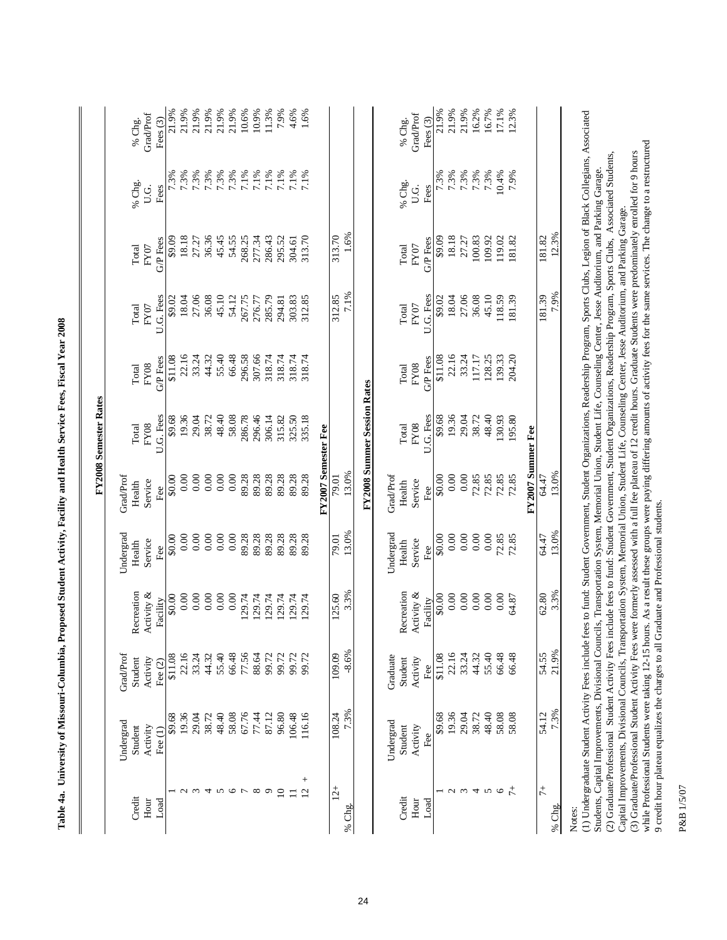| <br>                                                                |
|---------------------------------------------------------------------|
| I                                                                   |
| $\ddot{\phantom{a}}$<br>I                                           |
| I                                                                   |
|                                                                     |
| <b>Conditional Hoolth Sc</b>                                        |
|                                                                     |
| I                                                                   |
| ֧֧֧֧֧ׅ֧ׅ֧֧ׅ֧ׅ֧֪֧ׅ֧֧֪֧֛֪֪֪֧֪֪֧֚֚֚֚֚֚֚֚֚֚֚֚֚֚֚֚֚֚֚֚֚֚֚֚֚֝֝֝֝֬֜֜֝֬֜֜֜֜ |
|                                                                     |
| $\ddot{\vec{a}}$                                                    |
| l                                                                   |
| $\overline{a}$                                                      |
| :                                                                   |
|                                                                     |
| $\ddot{ }$                                                          |
| i                                                                   |
| Table                                                               |

|                          |                                                                                                                                                                                                                                                                                                                                               |                       |                        |                |                     | <b>FY2008 Semester Rates</b>       |                         |                   |                  |                      |                         |
|--------------------------|-----------------------------------------------------------------------------------------------------------------------------------------------------------------------------------------------------------------------------------------------------------------------------------------------------------------------------------------------|-----------------------|------------------------|----------------|---------------------|------------------------------------|-------------------------|-------------------|------------------|----------------------|-------------------------|
|                          | Undergrad                                                                                                                                                                                                                                                                                                                                     | GradProf              |                        | Undergrad      | Grad/Prof           |                                    |                         |                   |                  |                      |                         |
| Credit                   | Student                                                                                                                                                                                                                                                                                                                                       | Student               | Recreation             | Health         | Health              | Total                              | Total                   | Total             | Total            | % Chg.               | % Chg.                  |
| Hour<br>Load             | Activity<br>Fee $(1)$                                                                                                                                                                                                                                                                                                                         | Activity<br>Fee $(2)$ | Activity &<br>Facility | Service<br>Fee | Service<br>Fee      | U.G. Fees<br><b>FY08</b>           | G/P Fees<br><b>FY08</b> | U.G. Fees<br>FY07 | G/P Fees<br>FY07 | Fees<br>U.G.         | Grad/Prof<br>Fees $(3)$ |
|                          | \$9.68                                                                                                                                                                                                                                                                                                                                        | \$11.08               | \$0.00                 | \$0.00         | \$0.00              | \$9.68                             | \$11.08                 | \$9.02            | \$9.09           | 7.3%                 | 21.9%                   |
|                          | 19.36                                                                                                                                                                                                                                                                                                                                         | 22.16                 | 0.00                   | 0.00           | 0.00                | 19.36                              | 22.16                   | 18.04             | 18.18            | 7.3%                 | 21.9%                   |
| $\omega$                 | 29.04                                                                                                                                                                                                                                                                                                                                         | 33.24                 | 0.00                   | 0.00           | 0.00                | 29.04                              | 33.24                   | 27.06             | 27.27            |                      | 21.9%                   |
| 4                        | 38.72                                                                                                                                                                                                                                                                                                                                         | 44.32                 | 0.00                   | 0.00           | 0.00                | 38.72                              | 44.32                   | 36.08             | 36.36            | 7.3%<br>7.3%         | 21.9%                   |
| n                        | 48.40                                                                                                                                                                                                                                                                                                                                         | 55.40                 | 0.00                   | 0.00           | 0.00                | 48.40                              | 55.40                   | 45.10             | 45.45            | 7.3%<br>7.3%         | 21.9%                   |
| $\circ$                  | 58.08                                                                                                                                                                                                                                                                                                                                         | 66.48                 | 0.00                   | 0.00           | 0.00                | 58.08                              | 66.48                   | 54.12             | 54.55            |                      | 21.9%                   |
| ↽                        | 67.76                                                                                                                                                                                                                                                                                                                                         | 77.56                 | 129.74                 | 89.28          | 89.28               | 286.78                             | 296.58                  | 267.75            | 268.25           | 7.1%                 | 10.6%                   |
| $\infty$                 | 77.44                                                                                                                                                                                                                                                                                                                                         | 88.64                 | 129.74                 | 89.28          | 89.28               | 296.46                             | 307.66                  | 276.77            | 277.34           | 7.1%                 | 10.9%                   |
| $\sigma$                 | 87.12                                                                                                                                                                                                                                                                                                                                         | 99.72                 | 129.74                 | 89.28          | 89.28               | 306.14                             | 318.74                  | 285.79            | 286.43           | 7.1%                 | 11.3%                   |
| $\overline{\phantom{0}}$ | 96.80                                                                                                                                                                                                                                                                                                                                         | 99.72                 | 129.74                 | 89.28          | 89.28               | 315.82                             | 318.74                  | 294.81            | 295.52           | 7.1%                 | 7.9%                    |
| $\Box$                   | 106.48                                                                                                                                                                                                                                                                                                                                        | 99.72                 | 129.74                 | 89.28          | 89.28               | 325.50                             | 318.74                  | 303.83            | 304.61           | 7.1%                 | 4.6%                    |
| $^{+}$<br>12             | 116.16                                                                                                                                                                                                                                                                                                                                        | 99.72                 | 129.74                 | 89.28          | 89.28               | 335.18                             | 318.74                  | 312.85            | 313.70           | 7.1%                 | 1.6%                    |
|                          |                                                                                                                                                                                                                                                                                                                                               |                       |                        |                | FY2007 Semester Fee |                                    |                         |                   |                  |                      |                         |
| $12+$                    | 108.24                                                                                                                                                                                                                                                                                                                                        | 109.09                | 125.60                 | 79.01          | 79.01               |                                    |                         | 312.85            | 313.70           |                      |                         |
| % Chg.                   | 7.3%                                                                                                                                                                                                                                                                                                                                          | $-8.6%$               | 3.3%                   | 13.0%          | 13.0%               |                                    |                         | 7.1%              | 1.6%             |                      |                         |
|                          |                                                                                                                                                                                                                                                                                                                                               |                       |                        |                |                     | <b>FY2008 Summer Session Rates</b> |                         |                   |                  |                      |                         |
|                          | Undergrad                                                                                                                                                                                                                                                                                                                                     | Graduate              |                        | Undergrad      | Grad/Prof           |                                    |                         |                   |                  |                      |                         |
| Credit                   | Student                                                                                                                                                                                                                                                                                                                                       | Student               | Recreation             | Health         | Health              | Total                              | Total                   | Total             | Total            | % Chg.               | % Chg.                  |
| Hour                     | Activity                                                                                                                                                                                                                                                                                                                                      | Activity              | Activity &             | Service        | Service             | <b>FY08</b>                        | <b>FY08</b>             | FY07              | FY07             | U.G.                 | Grad/Prof               |
| Load                     | Fee                                                                                                                                                                                                                                                                                                                                           | Fee                   | Facility               | Fee            | Fee                 | U.G. Fees                          | G/P Fees                | U.G. Fees         | G/P Fees         | Fees                 | Fees (3)                |
|                          | \$9.68                                                                                                                                                                                                                                                                                                                                        | \$11.08               | \$0.00                 | \$0.00         | \$0.00              | \$9.68                             | \$11.08                 | \$9.02            | \$9.09           | 7.3%                 | 21.9%                   |
| $\sim$                   | 19.36                                                                                                                                                                                                                                                                                                                                         | 22.16                 | 0.00                   | 0.00           | 0.00                | 19.36                              | 22.16                   | 18.04             | 18.18            | 7.3%                 | 21.9%                   |
| $\epsilon$               | 29.04                                                                                                                                                                                                                                                                                                                                         | 33.24                 | 0.00                   | 0.00           | 0.00                | 29.04                              | 33.24                   | 27.06             | 27.27            |                      | 21.9%                   |
| 4                        | 38.72                                                                                                                                                                                                                                                                                                                                         | 44.32                 | 0.00                   | 0.00           | 72.85               | 38.72                              | 117.17                  | 36.08             | 100.83           |                      | 16.2%                   |
| $\mathbf{\hat{S}}$       | 48.40                                                                                                                                                                                                                                                                                                                                         | 55.40                 | 0.00                   | 0.00           | 72.85               | 48.40                              | 128.25                  | 45.10             | 109.92           | 7.3%<br>7.3%<br>7.3% | 16.7%                   |
| $\circ$                  | 58.08                                                                                                                                                                                                                                                                                                                                         | 66.48                 | 0.00                   | 72.85          | 72.85               | 130.93                             | 139.33                  | 118.59            | 119.02           | 10.4%                | 17.1%                   |
| $\ddot{\tau}$            | 58.08                                                                                                                                                                                                                                                                                                                                         | 66.48                 | 54.87                  | 72.85          | 72.85               | 195.80                             | 204.20                  | 181.39            | 181.82           | 7.9%                 | 12.3%                   |
|                          |                                                                                                                                                                                                                                                                                                                                               |                       |                        |                | FY2007 Summer Fee   |                                    |                         |                   |                  |                      |                         |
| $\ddot{7}$               | 54.12                                                                                                                                                                                                                                                                                                                                         | 54.55                 | 62.80                  | 64.47          | 64.47               |                                    |                         | 181.39            | 181.82           |                      |                         |
| % Chg.                   | 7.3%                                                                                                                                                                                                                                                                                                                                          | 21.9%                 | 3.3%                   | 13.0%          | 13.0%               |                                    |                         | 7.9%              | 12.3%            |                      |                         |
| Notes:                   |                                                                                                                                                                                                                                                                                                                                               |                       |                        |                |                     |                                    |                         |                   |                  |                      |                         |
|                          | (1) Undergraduate Student Activity Fees include fees to fund: Student Government, Student Organizations, Readership Program, Sports Clubs, Legion of Black Collegians, Associated                                                                                                                                                             |                       |                        |                |                     |                                    |                         |                   |                  |                      |                         |
|                          | (2) Graduate/Professional Student Activity Fees include fees to fund: Student Government, Student Organizations, Readership Program, Sports Clubs, Associated Students,<br>Students, Capital Improvements, Divisional Councils, Transportation System, Memorial Union, Student Life, Counseling Center, Jesse Auditorium, and Parking Garage. |                       |                        |                |                     |                                    |                         |                   |                  |                      |                         |
|                          | Capital Improvements, Divisional Councils, Transportation System, Memorial Union, Student Life, Counseling Center, Jesse Auditorium, and Parking Garage.                                                                                                                                                                                      |                       |                        |                |                     |                                    |                         |                   |                  |                      |                         |
|                          | (3) Graduate/Professional Student Activity Fees were formerly assessed with a full fee plateau of 12 credit hours. Graduate Students were predominately enrolled for 9 hours                                                                                                                                                                  |                       |                        |                |                     |                                    |                         |                   |                  |                      |                         |
|                          | while Professional Students were taking 12-15 hours. As a result these groups were paying differing amounts of activity fees for the same services. The change to a restructured                                                                                                                                                              |                       |                        |                |                     |                                    |                         |                   |                  |                      |                         |
|                          | 9 credit hour plateau equalizes the charges to all Graduate and Professional students.                                                                                                                                                                                                                                                        |                       |                        |                |                     |                                    |                         |                   |                  |                      |                         |

P&B 1/5/07 P&B 1/5/07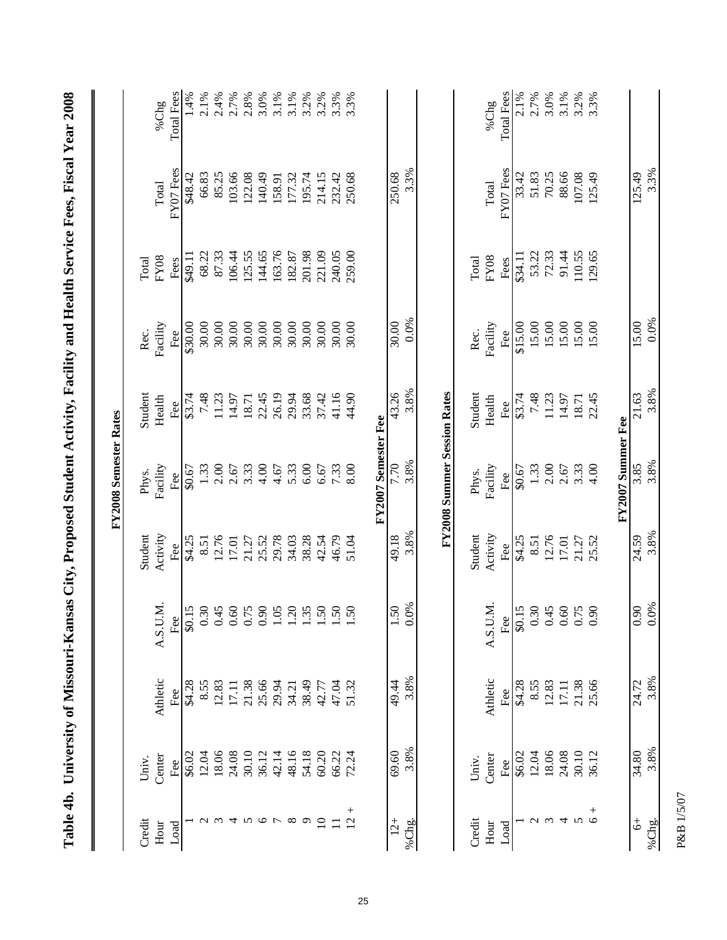| Credit<br>Hour<br>Load   |        |          |                                        |               | FY2008 Semester Rates              |         |          |             |           |                   |
|--------------------------|--------|----------|----------------------------------------|---------------|------------------------------------|---------|----------|-------------|-----------|-------------------|
|                          | Univ.  |          |                                        | Student       | Phys.                              | Student | Rec.     | Total       |           |                   |
|                          | Center | Athletic | A.S.U.M.                               | Activity      | Facility                           | Health  | Facility | <b>FY08</b> | Total     | %Chg              |
|                          | Fee    | Fee      | Fee                                    | Fee           | Fee                                | Fee     | Fee      | Fees        | FY07 Fees | <b>Total Fees</b> |
|                          | \$6.02 | \$4.28   | \$0.15                                 | \$4.25        | \$0.67                             | \$3.74  | \$30.00  | \$49.11     | \$48.42   | 1.4%              |
|                          | 12.04  | 8.55     | $0.30$<br>0.45                         | 8.51          | $1.33$<br>$2.00$                   | 7.48    | 30.00    | 68.22       | 66.83     | 2.1%              |
|                          | 18.06  | 12.83    |                                        | 12.76         |                                    | 11.23   | 30.00    | 87.33       | 85.25     | 2.4%              |
| 4                        | 24.08  | 17.11    | 0.60                                   | 17.01         | 2.67                               | 14.97   | 30.00    | 106.44      | 103.66    | 2.7%              |
| 5                        | 30.10  | 21.38    | 0.75                                   | 21.27         | 3.33                               | 18.71   | 30.00    | 125.55      | 122.08    | 2.8%              |
| $\circ$                  | 36.12  | 25.66    | 0.90                                   | 25.52         | 4.00                               | 22.45   | 30.00    | 144.65      | 140.49    | 3.0%              |
|                          | 42.14  | 29.94    | $1.05$<br>$1.20$                       | 29.78         | 4.67                               | 26.19   | 30.00    | 163.76      | 158.91    | 3.1%              |
| ${}^{\circ}$             | 48.16  | 34.21    |                                        | 34.03         | 5.33                               | 29.94   | 30.00    | 182.87      | 177.32    | 3.1%              |
| $\sigma$                 | 54.18  | 38.49    | 1.35                                   | 38.28         | $6.00\,$                           | 33.68   | 30.00    | 201.98      | 195.74    | 3.2%              |
| $\overline{10}$          | 60.20  | 42.77    | 1.50                                   | 42.54         | 6.67                               | 37.42   | 30.00    | 221.09      | 214.15    | 3.2%              |
| $\equiv$                 | 66.22  | 47.04    | 1.50                                   | 46.79         | 7.33                               | 41.16   | 30.00    | 240.05      | 232.42    | 3.3%              |
| $^{+}$<br>$\overline{2}$ | 72.24  | 51.32    | $1.50\,$                               | 51.04         | 8.00                               | 44.90   | 30.00    | 259.00      | 250.68    | 3.3%              |
|                          |        |          |                                        |               | FY2007 Semester Fee                |         |          |             |           |                   |
| $12+$                    | 69.60  | 49.44    | $\frac{1.50}{ }$                       | 49.18         | 7.70                               | 43.26   | 30.00    |             | 250.68    |                   |
| %Chg.                    | 3.8%   | 3.8%     | 0.0%                                   | 3.8%          | 3.8%                               | 3.8%    | 0.0%     |             | 3.3%      |                   |
|                          |        |          |                                        |               | <b>FY2008 Summer Session Rates</b> |         |          |             |           |                   |
| Credit                   | Univ.  |          |                                        | Student       | Phys.                              | Student | Rec.     | Total       |           |                   |
| Hour                     | Center | Athletic | A.S.U.M                                | Activity      | Facility                           | Health  | Facility | <b>FY08</b> | Total     | %Chg              |
| Load                     | Fee    | Fee      | Fee                                    | Fee<br>\$4.25 | Fee                                | Fee     | Fee      | Fees        | FY07 Fees | Total Fees        |
|                          | \$6.02 | \$4.28   | \$0.15                                 |               | \$0.67                             | \$3.74  | \$15.00  | \$34.11     | 33.42     | 2.1%              |
| $\mathcal{L}$            | 12.04  | 8.55     |                                        | 8.51          | 1.33                               | 7.48    | 15.00    | 53.22       | 51.83     | 2.7%              |
| $\omega$ 4               | 18.06  | 12.83    |                                        | 12.76         | $2.00$<br>$2.67$                   | 11.23   | .5.00    | 72.33       | 70.25     | 3.0%              |
|                          | 24.08  | 17.11    |                                        | 17.01         |                                    | 14.97   | 15.00    | 91.44       | 88.66     | 3.1%              |
| $\sim$                   | 30.10  | 21.38    | $0.30$<br>0.45<br>0.60<br>0.75<br>0.90 | 21.27         | 3.33                               | 18.71   | 15.00    | 110.55      | 107.08    | 3.2%              |
| $6 +$                    | 36.12  | 25.66    |                                        | 25.52         | 4.00                               | 22.45   | 15.00    | 129.65      | 125.49    | 3.3%              |
|                          |        |          |                                        |               | FY2007 Summer Fee                  |         |          |             |           |                   |
| $\ddot{\circ}$           | 34.80  | 24.72    | 0.90                                   | 24.59         | 3.85                               | 21.63   | 15.00    |             | 125.49    |                   |
| %Chg.                    | 3.8%   | 3.8%     | 0.0%                                   | 3.8%          | 3.8%                               | 3.8%    | 0.0%     |             | 3.3%      |                   |

25

P&B 1/5/07 P&B 1/5/07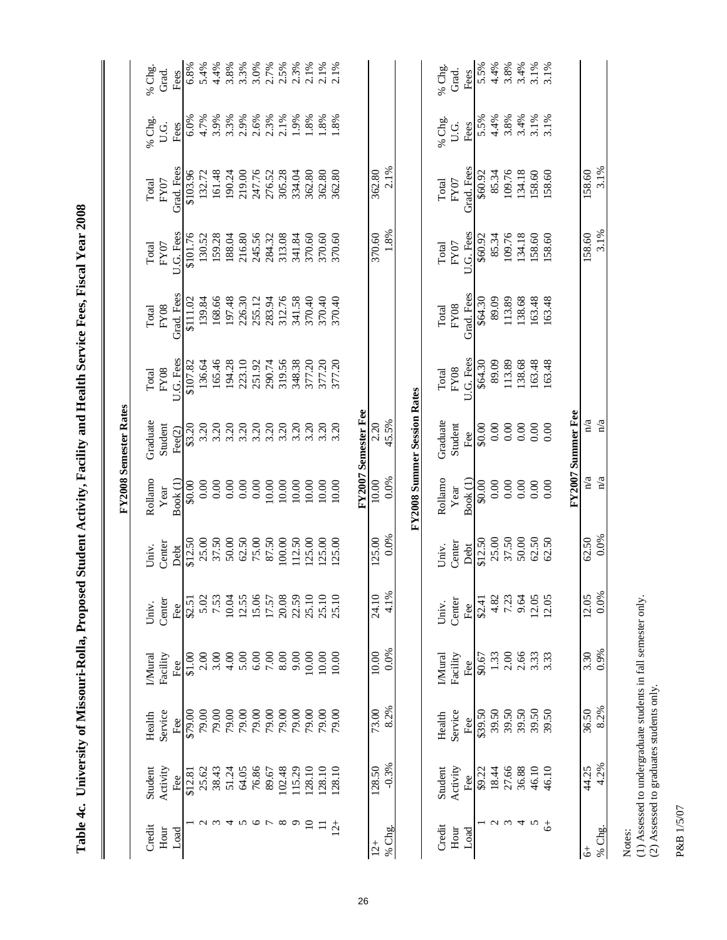| Ξ<br>l,<br>í.<br>≎ |
|--------------------|

|  | 1) Assessed to undergraduate students in fall semester only. | (2) Assessed to graduates students only. |
|--|--------------------------------------------------------------|------------------------------------------|
|--|--------------------------------------------------------------|------------------------------------------|

|      | Assessed to undergraduate |
|------|---------------------------|
| tes: |                           |
|      |                           |

|                     |                    |                |                             |               |                  |                     | FY2008 Semester Rates              |                          |                           |                   |                    |                                    |                           |
|---------------------|--------------------|----------------|-----------------------------|---------------|------------------|---------------------|------------------------------------|--------------------------|---------------------------|-------------------|--------------------|------------------------------------|---------------------------|
| Credit              | Student            | Health         | IMural                      | Univ.         | Univ.            | Rollamo             | Graduate                           | Total                    | Total                     | Total             | Total              | % Chg.                             | % Chg.                    |
| Hour<br>Load        | Activity<br>Fee    | Service<br>Fee | Facility<br>Fe <sub>e</sub> | Center<br>Fee | Center<br>Debt   | Book (1)<br>Year    | Student<br>Fee $(2)$               | U.G. Fees<br><b>FY08</b> | Grad. Fees<br><b>FY08</b> | U.G. Fees<br>FY07 | Grad. Fees<br>FY07 | U.G.<br>Fees                       | Grad.<br>Fees             |
|                     | \$12.81            | \$79.00        | \$1.00                      | \$2.51        | \$12.50          | \$0.00              | \$3.20                             | \$107.82                 | \$111.02                  | \$101.76          | \$103.96           | 6.0%                               | 6.8%                      |
|                     | 25.62              | 79.00          | 2.00                        | 5.02          | 25.00            | 0.00                | 3.20                               | 136.64                   | 139.84                    | 130.52            | 132.72             | 4.7%                               | 5.4%                      |
|                     | 38.43              | 79.00          | 3.00                        | 7.53          | 37.50            | 0.00                | 3.20                               | 165.46                   | 168.66                    | 159.28            | 161.48             |                                    |                           |
|                     | 51.24              | 79.00          | 4.00                        | 10.04         | 50.00            | 0.00                | 3.20                               | 194.28                   | 197.48                    | 188.04            | 190.24             |                                    |                           |
|                     | 64.05              | 79.00          | 5.00                        | 12.55         |                  | 0.00                | 3.20                               | 223.10                   | 226.30                    | 216.80            | 219.00             |                                    |                           |
| 234567              | 76.86              | 79.00          | $6.00$                      | 15.06         | $62.50$<br>75.00 | 0.00                | 3.20                               | 251.92                   | 255.12                    | 245.56            | 247.76             | $3.9%$ $3.3%$ $3.3%$ $3.6%$ $3.3%$ | $88888888$<br>$489907999$ |
|                     | 89.67              | 79.00          | $7.00$                      | 17.57         | 87.50            | 10.00               | 3.20                               | 290.74                   | 283.94                    | 284.32            | 276.52             |                                    |                           |
| $\infty$            | 102.48             | 79.00          | 8.00                        | 20.08         | 100.00           | 10.00               | 3.20                               | 319.56                   | 312.76                    | 313.08            | 305.28             | 2.1%                               |                           |
| $\sigma$            | 115.29             | 79.00          | 9.00                        | 22.59         | 112.50           | 10.00               | 3.20                               | 348.38                   | 341.58                    | 341.84            | 334.04             | 1.9%                               |                           |
| $\Xi$               | 128.10             | 79.00          | 10.00                       | 25.10         | 125.00           | 10.00               | 3.20                               | 377.20                   | 370.40                    | 370.60            | 362.80             | 1.8%                               | 2.1%                      |
| $\equiv$            | 128.10             | 79.00          | 10.00                       | 25.10         | 125.00           | 10.00               | 3.20                               | 377.20                   | 370.40                    | 370.60            | 362.80             | $\frac{988}{1.8\%}$                | 2.1%                      |
| $12^{+}$            | 128.10             | 79.00          | 10.00                       | 25.10         | 125.00           | 10.00               | 3.20                               | 377.20                   | 370.40                    | 370.60            | 362.80             |                                    | 2.1%                      |
|                     |                    |                |                             |               |                  |                     | FY2007 Semester Fee                |                          |                           |                   |                    |                                    |                           |
| $12+$               | 128.50             | 73.00          | 10.00                       | 24.10         | 125.00           | 10.00               | 2.20                               |                          |                           | 370.60            | 362.80             |                                    |                           |
| % Chg.              | $-0.3%$            | 8.2%           | 0.0%                        | 4.1%          | 0.0%             | 0.0%                | 45.5%                              |                          |                           | 1.8%              | 2.1%               |                                    |                           |
|                     |                    |                |                             |               |                  |                     | <b>FY2008 Summer Session Rates</b> |                          |                           |                   |                    |                                    |                           |
| Credit              | Student            | Health         | <b>I</b> Mural              | Univ.         | Univ.            | Rollamo             | Graduate                           | Total                    | Total                     | Total             | Total              | % Chg.                             | % Chg.                    |
| Hour                | Activity           | Service        | Facility                    | Center        | Center           | Year                | Student                            | <b>FY08</b>              | ${\rm F}Y08$              | FY07              | ${\rm FY07}$       | U.G.                               | Grad.                     |
| Load                | Fee $\overline{ }$ | Fee            | Fee                         | Fee           | Debt             | Book <sup>(1)</sup> | Fee                                | U.G. Fess                | Grad. Fees                | U.G. Fees         | Grad. Fees         | Fees                               | Fees                      |
|                     | \$9.22             | \$39.50        | \$0.67                      | \$2.41        | \$12.50          | \$0.00              | \$0.00                             | \$64.30                  | \$64.30                   | \$60.92           | \$60.92            | 5.5%                               | 5.5%                      |
| $\sim$              | 18.44              | 39.50          | 1.33                        | 4.82          | 25.00            | 0.00                | 0.00                               | 89.09                    | 89.09                     | 85.34             | 85.34              | 4.4%                               | 4.4%                      |
|                     | 27.66              | 39.50          | $2.00$                      | 7.23          | 37.50            | 0.00                | 0.00                               | 113.89                   | 113.89                    | 109.76            | 109.76             |                                    |                           |
| $\omega$ 4 $\omega$ | 36.88              | 39.50          | 2.66                        | 9.64          | 50.00            | $0.00\,$            | 0.00                               | 138.68                   | 138.68                    | 134.18            | 134.18             | $3.8%$<br>$3.4%$<br>$3.1%$         | $3.8\%$<br>$3.4\%$        |
|                     | 46.10              | 39.50          | 3.33                        | 12.05         | 62.50            | 0.00                | $0.00\,$                           | 163.48                   | 163.48                    | 158.60            | 158.60             |                                    | 3.1%                      |
| $\ddot{\circ}$      | 46.10              | 39.50          | 3.33                        | 12.05         | 62.50            | 0.00                | 0.00                               | 163.48                   | 163.48                    | 158.60            | 158.60             | 3.1%                               | 3.1%                      |
|                     |                    |                |                             |               |                  |                     | FY2007 Summer Fee                  |                          |                           |                   |                    |                                    |                           |
| % Chg.<br>\$        | 4.2%<br>44.25      | 8.2%<br>36.50  | 0.9%<br>3.30                | 0.0%<br>12.05 | 0.0%<br>62.50    | n/a<br>n/a          | $\overline{n}/a$<br>n/a            |                          |                           | 3.1%<br>158.60    | 3.1%<br>158.60     |                                    |                           |
| Notes:              |                    |                |                             |               |                  |                     |                                    |                          |                           |                   |                    |                                    |                           |

 **Table 4c. University of Missouri-Rolla, Proposed Student Activity, Facility and Health Service Fees, Fiscal Year 2008**

Table 4c. University of Missouri-Rolla, Proposed Student Activity, Facility and Health Service Fees, Fiscal Year 2008

26